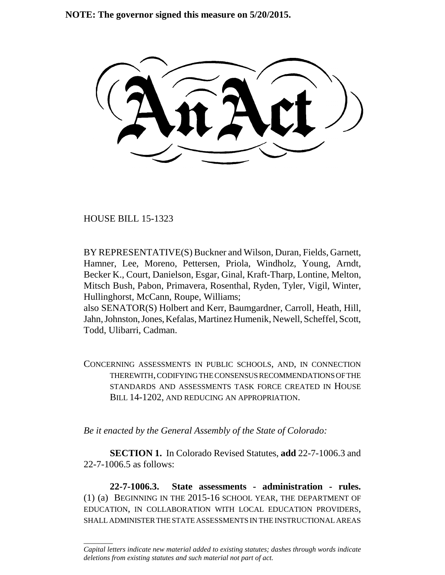**NOTE: The governor signed this measure on 5/20/2015.**

HOUSE BILL 15-1323

\_\_\_\_\_\_\_\_

BY REPRESENTATIVE(S) Buckner and Wilson, Duran, Fields, Garnett, Hamner, Lee, Moreno, Pettersen, Priola, Windholz, Young, Arndt, Becker K., Court, Danielson, Esgar, Ginal, Kraft-Tharp, Lontine, Melton, Mitsch Bush, Pabon, Primavera, Rosenthal, Ryden, Tyler, Vigil, Winter, Hullinghorst, McCann, Roupe, Williams;

also SENATOR(S) Holbert and Kerr, Baumgardner, Carroll, Heath, Hill, Jahn, Johnston, Jones, Kefalas, Martinez Humenik, Newell, Scheffel, Scott, Todd, Ulibarri, Cadman.

CONCERNING ASSESSMENTS IN PUBLIC SCHOOLS, AND, IN CONNECTION THEREWITH, CODIFYING THE CONSENSUS RECOMMENDATIONS OF THE STANDARDS AND ASSESSMENTS TASK FORCE CREATED IN HOUSE BILL 14-1202, AND REDUCING AN APPROPRIATION.

*Be it enacted by the General Assembly of the State of Colorado:*

**SECTION 1.** In Colorado Revised Statutes, **add** 22-7-1006.3 and 22-7-1006.5 as follows:

**22-7-1006.3. State assessments - administration - rules.** (1) (a) BEGINNING IN THE 2015-16 SCHOOL YEAR, THE DEPARTMENT OF EDUCATION, IN COLLABORATION WITH LOCAL EDUCATION PROVIDERS, SHALL ADMINISTER THE STATE ASSESSMENTS IN THE INSTRUCTIONAL AREAS

*Capital letters indicate new material added to existing statutes; dashes through words indicate deletions from existing statutes and such material not part of act.*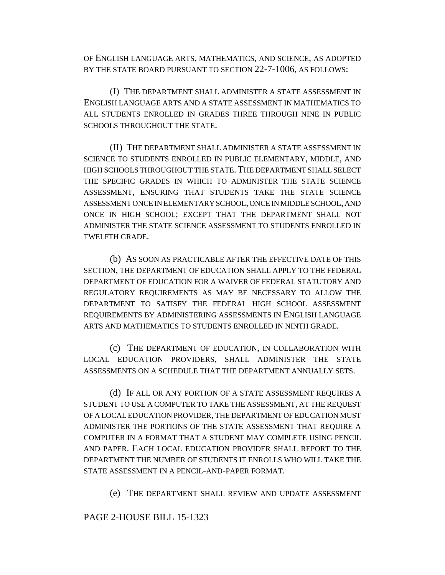OF ENGLISH LANGUAGE ARTS, MATHEMATICS, AND SCIENCE, AS ADOPTED BY THE STATE BOARD PURSUANT TO SECTION 22-7-1006, AS FOLLOWS:

(I) THE DEPARTMENT SHALL ADMINISTER A STATE ASSESSMENT IN ENGLISH LANGUAGE ARTS AND A STATE ASSESSMENT IN MATHEMATICS TO ALL STUDENTS ENROLLED IN GRADES THREE THROUGH NINE IN PUBLIC SCHOOLS THROUGHOUT THE STATE.

(II) THE DEPARTMENT SHALL ADMINISTER A STATE ASSESSMENT IN SCIENCE TO STUDENTS ENROLLED IN PUBLIC ELEMENTARY, MIDDLE, AND HIGH SCHOOLS THROUGHOUT THE STATE. THE DEPARTMENT SHALL SELECT THE SPECIFIC GRADES IN WHICH TO ADMINISTER THE STATE SCIENCE ASSESSMENT, ENSURING THAT STUDENTS TAKE THE STATE SCIENCE ASSESSMENT ONCE IN ELEMENTARY SCHOOL, ONCE IN MIDDLE SCHOOL, AND ONCE IN HIGH SCHOOL; EXCEPT THAT THE DEPARTMENT SHALL NOT ADMINISTER THE STATE SCIENCE ASSESSMENT TO STUDENTS ENROLLED IN TWELFTH GRADE.

(b) AS SOON AS PRACTICABLE AFTER THE EFFECTIVE DATE OF THIS SECTION, THE DEPARTMENT OF EDUCATION SHALL APPLY TO THE FEDERAL DEPARTMENT OF EDUCATION FOR A WAIVER OF FEDERAL STATUTORY AND REGULATORY REQUIREMENTS AS MAY BE NECESSARY TO ALLOW THE DEPARTMENT TO SATISFY THE FEDERAL HIGH SCHOOL ASSESSMENT REQUIREMENTS BY ADMINISTERING ASSESSMENTS IN ENGLISH LANGUAGE ARTS AND MATHEMATICS TO STUDENTS ENROLLED IN NINTH GRADE.

(c) THE DEPARTMENT OF EDUCATION, IN COLLABORATION WITH LOCAL EDUCATION PROVIDERS, SHALL ADMINISTER THE STATE ASSESSMENTS ON A SCHEDULE THAT THE DEPARTMENT ANNUALLY SETS.

(d) IF ALL OR ANY PORTION OF A STATE ASSESSMENT REQUIRES A STUDENT TO USE A COMPUTER TO TAKE THE ASSESSMENT, AT THE REQUEST OF A LOCAL EDUCATION PROVIDER, THE DEPARTMENT OF EDUCATION MUST ADMINISTER THE PORTIONS OF THE STATE ASSESSMENT THAT REQUIRE A COMPUTER IN A FORMAT THAT A STUDENT MAY COMPLETE USING PENCIL AND PAPER. EACH LOCAL EDUCATION PROVIDER SHALL REPORT TO THE DEPARTMENT THE NUMBER OF STUDENTS IT ENROLLS WHO WILL TAKE THE STATE ASSESSMENT IN A PENCIL-AND-PAPER FORMAT.

(e) THE DEPARTMENT SHALL REVIEW AND UPDATE ASSESSMENT

## PAGE 2-HOUSE BILL 15-1323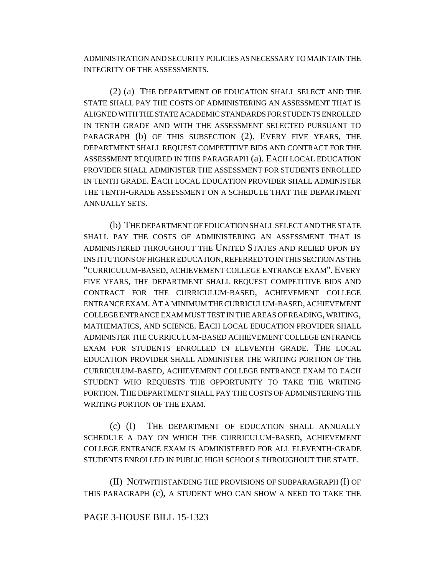ADMINISTRATION AND SECURITY POLICIES AS NECESSARY TO MAINTAIN THE INTEGRITY OF THE ASSESSMENTS.

(2) (a) THE DEPARTMENT OF EDUCATION SHALL SELECT AND THE STATE SHALL PAY THE COSTS OF ADMINISTERING AN ASSESSMENT THAT IS ALIGNED WITH THE STATE ACADEMIC STANDARDS FOR STUDENTS ENROLLED IN TENTH GRADE AND WITH THE ASSESSMENT SELECTED PURSUANT TO PARAGRAPH (b) OF THIS SUBSECTION (2). EVERY FIVE YEARS, THE DEPARTMENT SHALL REQUEST COMPETITIVE BIDS AND CONTRACT FOR THE ASSESSMENT REQUIRED IN THIS PARAGRAPH (a). EACH LOCAL EDUCATION PROVIDER SHALL ADMINISTER THE ASSESSMENT FOR STUDENTS ENROLLED IN TENTH GRADE. EACH LOCAL EDUCATION PROVIDER SHALL ADMINISTER THE TENTH-GRADE ASSESSMENT ON A SCHEDULE THAT THE DEPARTMENT ANNUALLY SETS.

(b) THE DEPARTMENT OF EDUCATION SHALL SELECT AND THE STATE SHALL PAY THE COSTS OF ADMINISTERING AN ASSESSMENT THAT IS ADMINISTERED THROUGHOUT THE UNITED STATES AND RELIED UPON BY INSTITUTIONS OF HIGHER EDUCATION, REFERRED TO IN THIS SECTION AS THE "CURRICULUM-BASED, ACHIEVEMENT COLLEGE ENTRANCE EXAM". EVERY FIVE YEARS, THE DEPARTMENT SHALL REQUEST COMPETITIVE BIDS AND CONTRACT FOR THE CURRICULUM-BASED, ACHIEVEMENT COLLEGE ENTRANCE EXAM.AT A MINIMUM THE CURRICULUM-BASED, ACHIEVEMENT COLLEGE ENTRANCE EXAM MUST TEST IN THE AREAS OF READING, WRITING, MATHEMATICS, AND SCIENCE. EACH LOCAL EDUCATION PROVIDER SHALL ADMINISTER THE CURRICULUM-BASED ACHIEVEMENT COLLEGE ENTRANCE EXAM FOR STUDENTS ENROLLED IN ELEVENTH GRADE. THE LOCAL EDUCATION PROVIDER SHALL ADMINISTER THE WRITING PORTION OF THE CURRICULUM-BASED, ACHIEVEMENT COLLEGE ENTRANCE EXAM TO EACH STUDENT WHO REQUESTS THE OPPORTUNITY TO TAKE THE WRITING PORTION. THE DEPARTMENT SHALL PAY THE COSTS OF ADMINISTERING THE WRITING PORTION OF THE EXAM.

(c) (I) THE DEPARTMENT OF EDUCATION SHALL ANNUALLY SCHEDULE A DAY ON WHICH THE CURRICULUM-BASED, ACHIEVEMENT COLLEGE ENTRANCE EXAM IS ADMINISTERED FOR ALL ELEVENTH-GRADE STUDENTS ENROLLED IN PUBLIC HIGH SCHOOLS THROUGHOUT THE STATE.

(II) NOTWITHSTANDING THE PROVISIONS OF SUBPARAGRAPH (I) OF THIS PARAGRAPH (c), A STUDENT WHO CAN SHOW A NEED TO TAKE THE

## PAGE 3-HOUSE BILL 15-1323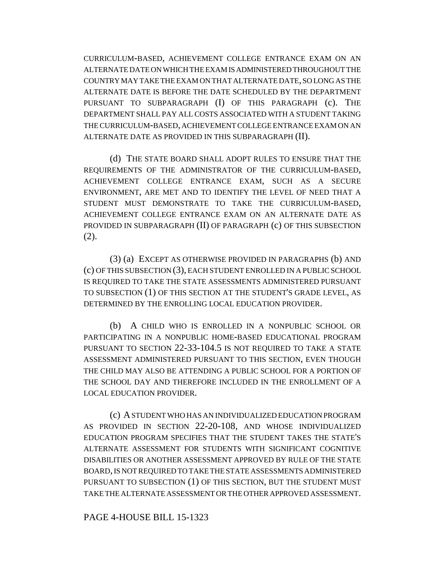CURRICULUM-BASED, ACHIEVEMENT COLLEGE ENTRANCE EXAM ON AN ALTERNATE DATE ON WHICH THE EXAM IS ADMINISTERED THROUGHOUT THE COUNTRY MAY TAKE THE EXAM ON THAT ALTERNATE DATE, SO LONG AS THE ALTERNATE DATE IS BEFORE THE DATE SCHEDULED BY THE DEPARTMENT PURSUANT TO SUBPARAGRAPH (I) OF THIS PARAGRAPH (c). THE DEPARTMENT SHALL PAY ALL COSTS ASSOCIATED WITH A STUDENT TAKING THE CURRICULUM-BASED, ACHIEVEMENT COLLEGE ENTRANCE EXAM ON AN ALTERNATE DATE AS PROVIDED IN THIS SUBPARAGRAPH (II).

(d) THE STATE BOARD SHALL ADOPT RULES TO ENSURE THAT THE REQUIREMENTS OF THE ADMINISTRATOR OF THE CURRICULUM-BASED, ACHIEVEMENT COLLEGE ENTRANCE EXAM, SUCH AS A SECURE ENVIRONMENT, ARE MET AND TO IDENTIFY THE LEVEL OF NEED THAT A STUDENT MUST DEMONSTRATE TO TAKE THE CURRICULUM-BASED, ACHIEVEMENT COLLEGE ENTRANCE EXAM ON AN ALTERNATE DATE AS PROVIDED IN SUBPARAGRAPH (II) OF PARAGRAPH (c) OF THIS SUBSECTION (2).

(3) (a) EXCEPT AS OTHERWISE PROVIDED IN PARAGRAPHS (b) AND (c) OF THIS SUBSECTION (3), EACH STUDENT ENROLLED IN A PUBLIC SCHOOL IS REQUIRED TO TAKE THE STATE ASSESSMENTS ADMINISTERED PURSUANT TO SUBSECTION (1) OF THIS SECTION AT THE STUDENT'S GRADE LEVEL, AS DETERMINED BY THE ENROLLING LOCAL EDUCATION PROVIDER.

(b) A CHILD WHO IS ENROLLED IN A NONPUBLIC SCHOOL OR PARTICIPATING IN A NONPUBLIC HOME-BASED EDUCATIONAL PROGRAM PURSUANT TO SECTION 22-33-104.5 IS NOT REQUIRED TO TAKE A STATE ASSESSMENT ADMINISTERED PURSUANT TO THIS SECTION, EVEN THOUGH THE CHILD MAY ALSO BE ATTENDING A PUBLIC SCHOOL FOR A PORTION OF THE SCHOOL DAY AND THEREFORE INCLUDED IN THE ENROLLMENT OF A LOCAL EDUCATION PROVIDER.

(c) A STUDENT WHO HAS AN INDIVIDUALIZED EDUCATION PROGRAM AS PROVIDED IN SECTION 22-20-108, AND WHOSE INDIVIDUALIZED EDUCATION PROGRAM SPECIFIES THAT THE STUDENT TAKES THE STATE'S ALTERNATE ASSESSMENT FOR STUDENTS WITH SIGNIFICANT COGNITIVE DISABILITIES OR ANOTHER ASSESSMENT APPROVED BY RULE OF THE STATE BOARD, IS NOT REQUIRED TO TAKE THE STATE ASSESSMENTS ADMINISTERED PURSUANT TO SUBSECTION (1) OF THIS SECTION, BUT THE STUDENT MUST TAKE THE ALTERNATE ASSESSMENT OR THE OTHER APPROVED ASSESSMENT.

PAGE 4-HOUSE BILL 15-1323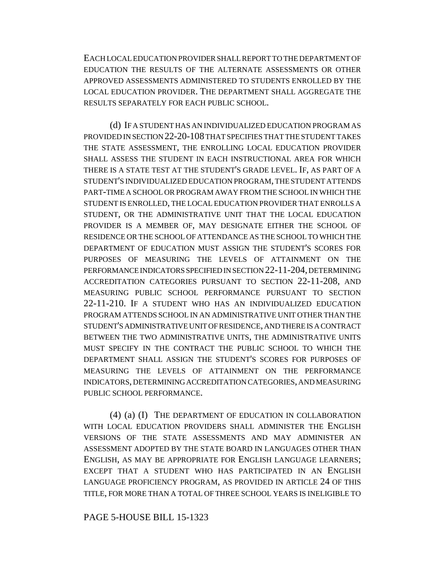EACH LOCAL EDUCATION PROVIDER SHALL REPORT TO THE DEPARTMENT OF EDUCATION THE RESULTS OF THE ALTERNATE ASSESSMENTS OR OTHER APPROVED ASSESSMENTS ADMINISTERED TO STUDENTS ENROLLED BY THE LOCAL EDUCATION PROVIDER. THE DEPARTMENT SHALL AGGREGATE THE RESULTS SEPARATELY FOR EACH PUBLIC SCHOOL.

(d) IF A STUDENT HAS AN INDIVIDUALIZED EDUCATION PROGRAM AS PROVIDED IN SECTION 22-20-108 THAT SPECIFIES THAT THE STUDENT TAKES THE STATE ASSESSMENT, THE ENROLLING LOCAL EDUCATION PROVIDER SHALL ASSESS THE STUDENT IN EACH INSTRUCTIONAL AREA FOR WHICH THERE IS A STATE TEST AT THE STUDENT'S GRADE LEVEL. IF, AS PART OF A STUDENT'S INDIVIDUALIZED EDUCATION PROGRAM, THE STUDENT ATTENDS PART-TIME A SCHOOL OR PROGRAM AWAY FROM THE SCHOOL IN WHICH THE STUDENT IS ENROLLED, THE LOCAL EDUCATION PROVIDER THAT ENROLLS A STUDENT, OR THE ADMINISTRATIVE UNIT THAT THE LOCAL EDUCATION PROVIDER IS A MEMBER OF, MAY DESIGNATE EITHER THE SCHOOL OF RESIDENCE OR THE SCHOOL OF ATTENDANCE AS THE SCHOOL TO WHICH THE DEPARTMENT OF EDUCATION MUST ASSIGN THE STUDENT'S SCORES FOR PURPOSES OF MEASURING THE LEVELS OF ATTAINMENT ON THE PERFORMANCE INDICATORS SPECIFIED IN SECTION 22-11-204, DETERMINING ACCREDITATION CATEGORIES PURSUANT TO SECTION 22-11-208, AND MEASURING PUBLIC SCHOOL PERFORMANCE PURSUANT TO SECTION 22-11-210. IF A STUDENT WHO HAS AN INDIVIDUALIZED EDUCATION PROGRAM ATTENDS SCHOOL IN AN ADMINISTRATIVE UNIT OTHER THAN THE STUDENT'S ADMINISTRATIVE UNIT OF RESIDENCE, AND THERE IS A CONTRACT BETWEEN THE TWO ADMINISTRATIVE UNITS, THE ADMINISTRATIVE UNITS MUST SPECIFY IN THE CONTRACT THE PUBLIC SCHOOL TO WHICH THE DEPARTMENT SHALL ASSIGN THE STUDENT'S SCORES FOR PURPOSES OF MEASURING THE LEVELS OF ATTAINMENT ON THE PERFORMANCE INDICATORS, DETERMINING ACCREDITATION CATEGORIES, AND MEASURING PUBLIC SCHOOL PERFORMANCE.

(4) (a) (I) THE DEPARTMENT OF EDUCATION IN COLLABORATION WITH LOCAL EDUCATION PROVIDERS SHALL ADMINISTER THE ENGLISH VERSIONS OF THE STATE ASSESSMENTS AND MAY ADMINISTER AN ASSESSMENT ADOPTED BY THE STATE BOARD IN LANGUAGES OTHER THAN ENGLISH, AS MAY BE APPROPRIATE FOR ENGLISH LANGUAGE LEARNERS; EXCEPT THAT A STUDENT WHO HAS PARTICIPATED IN AN ENGLISH LANGUAGE PROFICIENCY PROGRAM, AS PROVIDED IN ARTICLE 24 OF THIS TITLE, FOR MORE THAN A TOTAL OF THREE SCHOOL YEARS IS INELIGIBLE TO

PAGE 5-HOUSE BILL 15-1323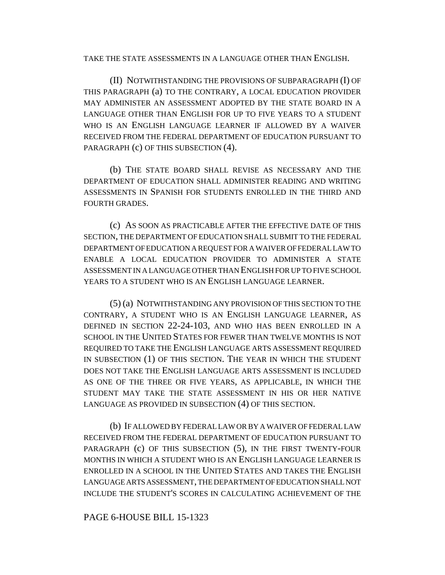TAKE THE STATE ASSESSMENTS IN A LANGUAGE OTHER THAN ENGLISH.

(II) NOTWITHSTANDING THE PROVISIONS OF SUBPARAGRAPH (I) OF THIS PARAGRAPH (a) TO THE CONTRARY, A LOCAL EDUCATION PROVIDER MAY ADMINISTER AN ASSESSMENT ADOPTED BY THE STATE BOARD IN A LANGUAGE OTHER THAN ENGLISH FOR UP TO FIVE YEARS TO A STUDENT WHO IS AN ENGLISH LANGUAGE LEARNER IF ALLOWED BY A WAIVER RECEIVED FROM THE FEDERAL DEPARTMENT OF EDUCATION PURSUANT TO PARAGRAPH (c) OF THIS SUBSECTION (4).

(b) THE STATE BOARD SHALL REVISE AS NECESSARY AND THE DEPARTMENT OF EDUCATION SHALL ADMINISTER READING AND WRITING ASSESSMENTS IN SPANISH FOR STUDENTS ENROLLED IN THE THIRD AND FOURTH GRADES.

(c) AS SOON AS PRACTICABLE AFTER THE EFFECTIVE DATE OF THIS SECTION, THE DEPARTMENT OF EDUCATION SHALL SUBMIT TO THE FEDERAL DEPARTMENT OF EDUCATION A REQUEST FOR A WAIVER OF FEDERAL LAW TO ENABLE A LOCAL EDUCATION PROVIDER TO ADMINISTER A STATE ASSESSMENT IN A LANGUAGE OTHER THAN ENGLISH FOR UP TO FIVE SCHOOL YEARS TO A STUDENT WHO IS AN ENGLISH LANGUAGE LEARNER.

(5) (a) NOTWITHSTANDING ANY PROVISION OF THIS SECTION TO THE CONTRARY, A STUDENT WHO IS AN ENGLISH LANGUAGE LEARNER, AS DEFINED IN SECTION 22-24-103, AND WHO HAS BEEN ENROLLED IN A SCHOOL IN THE UNITED STATES FOR FEWER THAN TWELVE MONTHS IS NOT REQUIRED TO TAKE THE ENGLISH LANGUAGE ARTS ASSESSMENT REQUIRED IN SUBSECTION (1) OF THIS SECTION. THE YEAR IN WHICH THE STUDENT DOES NOT TAKE THE ENGLISH LANGUAGE ARTS ASSESSMENT IS INCLUDED AS ONE OF THE THREE OR FIVE YEARS, AS APPLICABLE, IN WHICH THE STUDENT MAY TAKE THE STATE ASSESSMENT IN HIS OR HER NATIVE LANGUAGE AS PROVIDED IN SUBSECTION (4) OF THIS SECTION.

(b) IF ALLOWED BY FEDERAL LAW OR BY A WAIVER OF FEDERAL LAW RECEIVED FROM THE FEDERAL DEPARTMENT OF EDUCATION PURSUANT TO PARAGRAPH (c) OF THIS SUBSECTION (5), IN THE FIRST TWENTY-FOUR MONTHS IN WHICH A STUDENT WHO IS AN ENGLISH LANGUAGE LEARNER IS ENROLLED IN A SCHOOL IN THE UNITED STATES AND TAKES THE ENGLISH LANGUAGE ARTS ASSESSMENT, THE DEPARTMENT OF EDUCATION SHALL NOT INCLUDE THE STUDENT'S SCORES IN CALCULATING ACHIEVEMENT OF THE

PAGE 6-HOUSE BILL 15-1323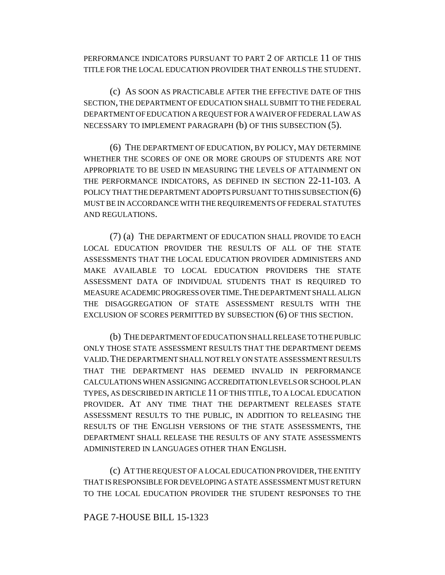PERFORMANCE INDICATORS PURSUANT TO PART 2 OF ARTICLE 11 OF THIS TITLE FOR THE LOCAL EDUCATION PROVIDER THAT ENROLLS THE STUDENT.

(c) AS SOON AS PRACTICABLE AFTER THE EFFECTIVE DATE OF THIS SECTION, THE DEPARTMENT OF EDUCATION SHALL SUBMIT TO THE FEDERAL DEPARTMENT OF EDUCATION A REQUEST FOR A WAIVER OF FEDERAL LAW AS NECESSARY TO IMPLEMENT PARAGRAPH (b) OF THIS SUBSECTION (5).

(6) THE DEPARTMENT OF EDUCATION, BY POLICY, MAY DETERMINE WHETHER THE SCORES OF ONE OR MORE GROUPS OF STUDENTS ARE NOT APPROPRIATE TO BE USED IN MEASURING THE LEVELS OF ATTAINMENT ON THE PERFORMANCE INDICATORS, AS DEFINED IN SECTION 22-11-103. A POLICY THAT THE DEPARTMENT ADOPTS PURSUANT TO THIS SUBSECTION (6) MUST BE IN ACCORDANCE WITH THE REQUIREMENTS OF FEDERAL STATUTES AND REGULATIONS.

(7) (a) THE DEPARTMENT OF EDUCATION SHALL PROVIDE TO EACH LOCAL EDUCATION PROVIDER THE RESULTS OF ALL OF THE STATE ASSESSMENTS THAT THE LOCAL EDUCATION PROVIDER ADMINISTERS AND MAKE AVAILABLE TO LOCAL EDUCATION PROVIDERS THE STATE ASSESSMENT DATA OF INDIVIDUAL STUDENTS THAT IS REQUIRED TO MEASURE ACADEMIC PROGRESS OVER TIME.THE DEPARTMENT SHALL ALIGN THE DISAGGREGATION OF STATE ASSESSMENT RESULTS WITH THE EXCLUSION OF SCORES PERMITTED BY SUBSECTION (6) OF THIS SECTION.

(b) THE DEPARTMENT OF EDUCATION SHALL RELEASE TO THE PUBLIC ONLY THOSE STATE ASSESSMENT RESULTS THAT THE DEPARTMENT DEEMS VALID.THE DEPARTMENT SHALL NOT RELY ON STATE ASSESSMENT RESULTS THAT THE DEPARTMENT HAS DEEMED INVALID IN PERFORMANCE CALCULATIONS WHEN ASSIGNING ACCREDITATION LEVELS OR SCHOOL PLAN TYPES, AS DESCRIBED IN ARTICLE 11 OF THIS TITLE, TO A LOCAL EDUCATION PROVIDER. AT ANY TIME THAT THE DEPARTMENT RELEASES STATE ASSESSMENT RESULTS TO THE PUBLIC, IN ADDITION TO RELEASING THE RESULTS OF THE ENGLISH VERSIONS OF THE STATE ASSESSMENTS, THE DEPARTMENT SHALL RELEASE THE RESULTS OF ANY STATE ASSESSMENTS ADMINISTERED IN LANGUAGES OTHER THAN ENGLISH.

(c) AT THE REQUEST OF A LOCAL EDUCATION PROVIDER, THE ENTITY THAT IS RESPONSIBLE FOR DEVELOPING A STATE ASSESSMENT MUST RETURN TO THE LOCAL EDUCATION PROVIDER THE STUDENT RESPONSES TO THE

#### PAGE 7-HOUSE BILL 15-1323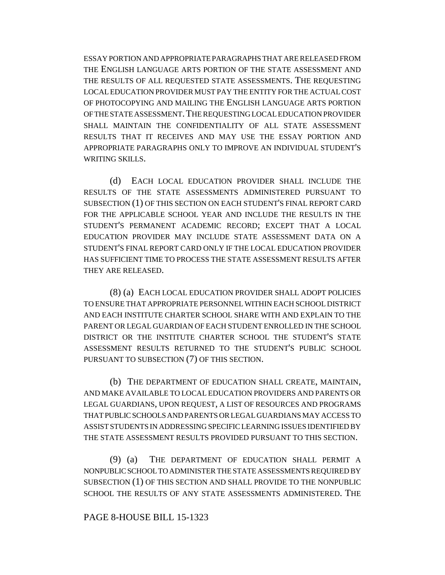ESSAY PORTION AND APPROPRIATE PARAGRAPHS THAT ARE RELEASED FROM THE ENGLISH LANGUAGE ARTS PORTION OF THE STATE ASSESSMENT AND THE RESULTS OF ALL REQUESTED STATE ASSESSMENTS. THE REQUESTING LOCAL EDUCATION PROVIDER MUST PAY THE ENTITY FOR THE ACTUAL COST OF PHOTOCOPYING AND MAILING THE ENGLISH LANGUAGE ARTS PORTION OF THE STATE ASSESSMENT.THE REQUESTING LOCAL EDUCATION PROVIDER SHALL MAINTAIN THE CONFIDENTIALITY OF ALL STATE ASSESSMENT RESULTS THAT IT RECEIVES AND MAY USE THE ESSAY PORTION AND APPROPRIATE PARAGRAPHS ONLY TO IMPROVE AN INDIVIDUAL STUDENT'S WRITING SKILLS.

(d) EACH LOCAL EDUCATION PROVIDER SHALL INCLUDE THE RESULTS OF THE STATE ASSESSMENTS ADMINISTERED PURSUANT TO SUBSECTION (1) OF THIS SECTION ON EACH STUDENT'S FINAL REPORT CARD FOR THE APPLICABLE SCHOOL YEAR AND INCLUDE THE RESULTS IN THE STUDENT'S PERMANENT ACADEMIC RECORD; EXCEPT THAT A LOCAL EDUCATION PROVIDER MAY INCLUDE STATE ASSESSMENT DATA ON A STUDENT'S FINAL REPORT CARD ONLY IF THE LOCAL EDUCATION PROVIDER HAS SUFFICIENT TIME TO PROCESS THE STATE ASSESSMENT RESULTS AFTER THEY ARE RELEASED.

(8) (a) EACH LOCAL EDUCATION PROVIDER SHALL ADOPT POLICIES TO ENSURE THAT APPROPRIATE PERSONNEL WITHIN EACH SCHOOL DISTRICT AND EACH INSTITUTE CHARTER SCHOOL SHARE WITH AND EXPLAIN TO THE PARENT OR LEGAL GUARDIAN OF EACH STUDENT ENROLLED IN THE SCHOOL DISTRICT OR THE INSTITUTE CHARTER SCHOOL THE STUDENT'S STATE ASSESSMENT RESULTS RETURNED TO THE STUDENT'S PUBLIC SCHOOL PURSUANT TO SUBSECTION (7) OF THIS SECTION.

(b) THE DEPARTMENT OF EDUCATION SHALL CREATE, MAINTAIN, AND MAKE AVAILABLE TO LOCAL EDUCATION PROVIDERS AND PARENTS OR LEGAL GUARDIANS, UPON REQUEST, A LIST OF RESOURCES AND PROGRAMS THAT PUBLIC SCHOOLS AND PARENTS OR LEGAL GUARDIANS MAY ACCESS TO ASSIST STUDENTS IN ADDRESSING SPECIFIC LEARNING ISSUES IDENTIFIED BY THE STATE ASSESSMENT RESULTS PROVIDED PURSUANT TO THIS SECTION.

(9) (a) THE DEPARTMENT OF EDUCATION SHALL PERMIT A NONPUBLIC SCHOOL TO ADMINISTER THE STATE ASSESSMENTS REQUIRED BY SUBSECTION (1) OF THIS SECTION AND SHALL PROVIDE TO THE NONPUBLIC SCHOOL THE RESULTS OF ANY STATE ASSESSMENTS ADMINISTERED. THE

#### PAGE 8-HOUSE BILL 15-1323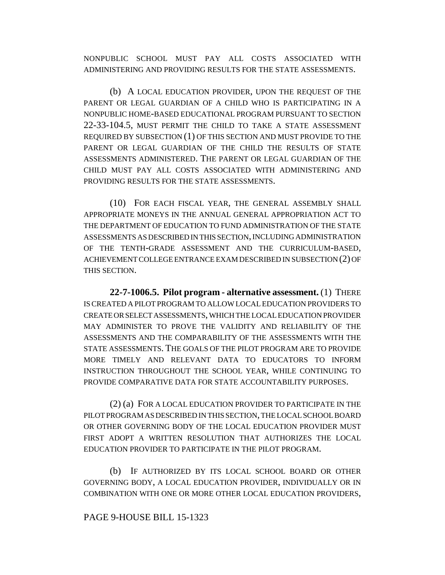NONPUBLIC SCHOOL MUST PAY ALL COSTS ASSOCIATED WITH ADMINISTERING AND PROVIDING RESULTS FOR THE STATE ASSESSMENTS.

(b) A LOCAL EDUCATION PROVIDER, UPON THE REQUEST OF THE PARENT OR LEGAL GUARDIAN OF A CHILD WHO IS PARTICIPATING IN A NONPUBLIC HOME-BASED EDUCATIONAL PROGRAM PURSUANT TO SECTION 22-33-104.5, MUST PERMIT THE CHILD TO TAKE A STATE ASSESSMENT REQUIRED BY SUBSECTION (1) OF THIS SECTION AND MUST PROVIDE TO THE PARENT OR LEGAL GUARDIAN OF THE CHILD THE RESULTS OF STATE ASSESSMENTS ADMINISTERED. THE PARENT OR LEGAL GUARDIAN OF THE CHILD MUST PAY ALL COSTS ASSOCIATED WITH ADMINISTERING AND PROVIDING RESULTS FOR THE STATE ASSESSMENTS.

(10) FOR EACH FISCAL YEAR, THE GENERAL ASSEMBLY SHALL APPROPRIATE MONEYS IN THE ANNUAL GENERAL APPROPRIATION ACT TO THE DEPARTMENT OF EDUCATION TO FUND ADMINISTRATION OF THE STATE ASSESSMENTS AS DESCRIBED IN THIS SECTION, INCLUDING ADMINISTRATION OF THE TENTH-GRADE ASSESSMENT AND THE CURRICULUM-BASED, ACHIEVEMENT COLLEGE ENTRANCE EXAM DESCRIBED IN SUBSECTION (2) OF THIS SECTION.

**22-7-1006.5. Pilot program - alternative assessment.** (1) THERE IS CREATED A PILOT PROGRAM TO ALLOW LOCAL EDUCATION PROVIDERS TO CREATE OR SELECT ASSESSMENTS, WHICH THE LOCAL EDUCATION PROVIDER MAY ADMINISTER TO PROVE THE VALIDITY AND RELIABILITY OF THE ASSESSMENTS AND THE COMPARABILITY OF THE ASSESSMENTS WITH THE STATE ASSESSMENTS. THE GOALS OF THE PILOT PROGRAM ARE TO PROVIDE MORE TIMELY AND RELEVANT DATA TO EDUCATORS TO INFORM INSTRUCTION THROUGHOUT THE SCHOOL YEAR, WHILE CONTINUING TO PROVIDE COMPARATIVE DATA FOR STATE ACCOUNTABILITY PURPOSES.

(2) (a) FOR A LOCAL EDUCATION PROVIDER TO PARTICIPATE IN THE PILOT PROGRAM AS DESCRIBED IN THIS SECTION, THE LOCAL SCHOOL BOARD OR OTHER GOVERNING BODY OF THE LOCAL EDUCATION PROVIDER MUST FIRST ADOPT A WRITTEN RESOLUTION THAT AUTHORIZES THE LOCAL EDUCATION PROVIDER TO PARTICIPATE IN THE PILOT PROGRAM.

(b) IF AUTHORIZED BY ITS LOCAL SCHOOL BOARD OR OTHER GOVERNING BODY, A LOCAL EDUCATION PROVIDER, INDIVIDUALLY OR IN COMBINATION WITH ONE OR MORE OTHER LOCAL EDUCATION PROVIDERS,

## PAGE 9-HOUSE BILL 15-1323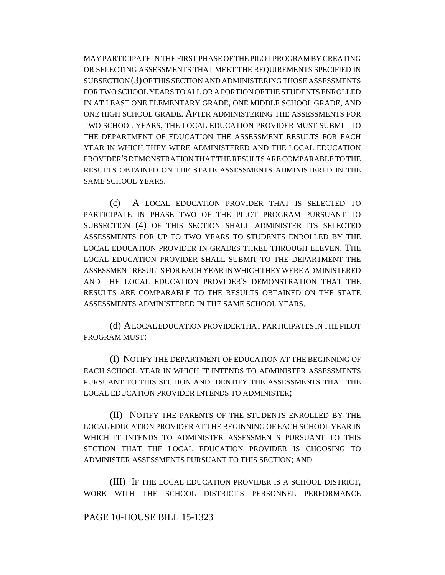MAY PARTICIPATE IN THE FIRST PHASE OF THE PILOT PROGRAM BY CREATING OR SELECTING ASSESSMENTS THAT MEET THE REQUIREMENTS SPECIFIED IN SUBSECTION (3) OF THIS SECTION AND ADMINISTERING THOSE ASSESSMENTS FOR TWO SCHOOL YEARS TO ALL OR A PORTION OF THE STUDENTS ENROLLED IN AT LEAST ONE ELEMENTARY GRADE, ONE MIDDLE SCHOOL GRADE, AND ONE HIGH SCHOOL GRADE. AFTER ADMINISTERING THE ASSESSMENTS FOR TWO SCHOOL YEARS, THE LOCAL EDUCATION PROVIDER MUST SUBMIT TO THE DEPARTMENT OF EDUCATION THE ASSESSMENT RESULTS FOR EACH YEAR IN WHICH THEY WERE ADMINISTERED AND THE LOCAL EDUCATION PROVIDER'S DEMONSTRATION THAT THE RESULTS ARE COMPARABLE TO THE RESULTS OBTAINED ON THE STATE ASSESSMENTS ADMINISTERED IN THE SAME SCHOOL YEARS.

(c) A LOCAL EDUCATION PROVIDER THAT IS SELECTED TO PARTICIPATE IN PHASE TWO OF THE PILOT PROGRAM PURSUANT TO SUBSECTION (4) OF THIS SECTION SHALL ADMINISTER ITS SELECTED ASSESSMENTS FOR UP TO TWO YEARS TO STUDENTS ENROLLED BY THE LOCAL EDUCATION PROVIDER IN GRADES THREE THROUGH ELEVEN. THE LOCAL EDUCATION PROVIDER SHALL SUBMIT TO THE DEPARTMENT THE ASSESSMENT RESULTS FOR EACH YEAR IN WHICH THEY WERE ADMINISTERED AND THE LOCAL EDUCATION PROVIDER'S DEMONSTRATION THAT THE RESULTS ARE COMPARABLE TO THE RESULTS OBTAINED ON THE STATE ASSESSMENTS ADMINISTERED IN THE SAME SCHOOL YEARS.

(d) A LOCAL EDUCATION PROVIDER THAT PARTICIPATES IN THE PILOT PROGRAM MUST:

(I) NOTIFY THE DEPARTMENT OF EDUCATION AT THE BEGINNING OF EACH SCHOOL YEAR IN WHICH IT INTENDS TO ADMINISTER ASSESSMENTS PURSUANT TO THIS SECTION AND IDENTIFY THE ASSESSMENTS THAT THE LOCAL EDUCATION PROVIDER INTENDS TO ADMINISTER;

(II) NOTIFY THE PARENTS OF THE STUDENTS ENROLLED BY THE LOCAL EDUCATION PROVIDER AT THE BEGINNING OF EACH SCHOOL YEAR IN WHICH IT INTENDS TO ADMINISTER ASSESSMENTS PURSUANT TO THIS SECTION THAT THE LOCAL EDUCATION PROVIDER IS CHOOSING TO ADMINISTER ASSESSMENTS PURSUANT TO THIS SECTION; AND

(III) IF THE LOCAL EDUCATION PROVIDER IS A SCHOOL DISTRICT, WORK WITH THE SCHOOL DISTRICT'S PERSONNEL PERFORMANCE

#### PAGE 10-HOUSE BILL 15-1323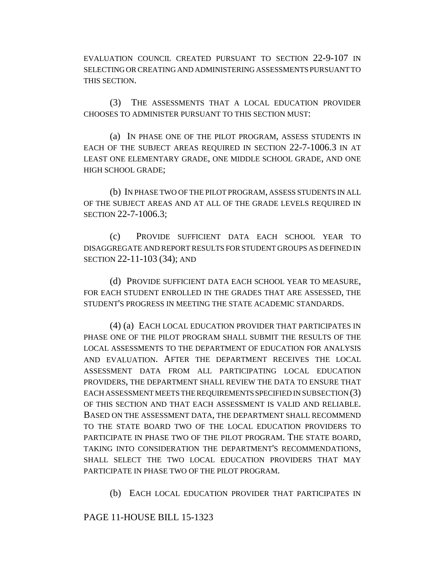EVALUATION COUNCIL CREATED PURSUANT TO SECTION 22-9-107 IN SELECTING OR CREATING AND ADMINISTERING ASSESSMENTS PURSUANT TO THIS SECTION.

(3) THE ASSESSMENTS THAT A LOCAL EDUCATION PROVIDER CHOOSES TO ADMINISTER PURSUANT TO THIS SECTION MUST:

(a) IN PHASE ONE OF THE PILOT PROGRAM, ASSESS STUDENTS IN EACH OF THE SUBJECT AREAS REQUIRED IN SECTION 22-7-1006.3 IN AT LEAST ONE ELEMENTARY GRADE, ONE MIDDLE SCHOOL GRADE, AND ONE HIGH SCHOOL GRADE;

(b) IN PHASE TWO OF THE PILOT PROGRAM, ASSESS STUDENTS IN ALL OF THE SUBJECT AREAS AND AT ALL OF THE GRADE LEVELS REQUIRED IN SECTION 22-7-1006.3;

(c) PROVIDE SUFFICIENT DATA EACH SCHOOL YEAR TO DISAGGREGATE AND REPORT RESULTS FOR STUDENT GROUPS AS DEFINED IN SECTION 22-11-103 (34); AND

(d) PROVIDE SUFFICIENT DATA EACH SCHOOL YEAR TO MEASURE, FOR EACH STUDENT ENROLLED IN THE GRADES THAT ARE ASSESSED, THE STUDENT'S PROGRESS IN MEETING THE STATE ACADEMIC STANDARDS.

(4) (a) EACH LOCAL EDUCATION PROVIDER THAT PARTICIPATES IN PHASE ONE OF THE PILOT PROGRAM SHALL SUBMIT THE RESULTS OF THE LOCAL ASSESSMENTS TO THE DEPARTMENT OF EDUCATION FOR ANALYSIS AND EVALUATION. AFTER THE DEPARTMENT RECEIVES THE LOCAL ASSESSMENT DATA FROM ALL PARTICIPATING LOCAL EDUCATION PROVIDERS, THE DEPARTMENT SHALL REVIEW THE DATA TO ENSURE THAT EACH ASSESSMENT MEETS THE REQUIREMENTS SPECIFIED IN SUBSECTION (3) OF THIS SECTION AND THAT EACH ASSESSMENT IS VALID AND RELIABLE. BASED ON THE ASSESSMENT DATA, THE DEPARTMENT SHALL RECOMMEND TO THE STATE BOARD TWO OF THE LOCAL EDUCATION PROVIDERS TO PARTICIPATE IN PHASE TWO OF THE PILOT PROGRAM. THE STATE BOARD, TAKING INTO CONSIDERATION THE DEPARTMENT'S RECOMMENDATIONS, SHALL SELECT THE TWO LOCAL EDUCATION PROVIDERS THAT MAY PARTICIPATE IN PHASE TWO OF THE PILOT PROGRAM.

(b) EACH LOCAL EDUCATION PROVIDER THAT PARTICIPATES IN

PAGE 11-HOUSE BILL 15-1323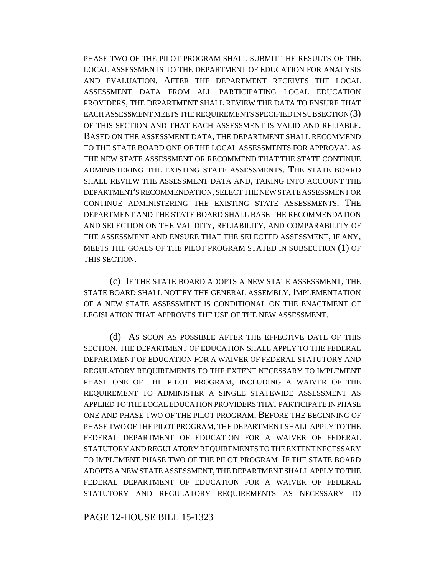PHASE TWO OF THE PILOT PROGRAM SHALL SUBMIT THE RESULTS OF THE LOCAL ASSESSMENTS TO THE DEPARTMENT OF EDUCATION FOR ANALYSIS AND EVALUATION. AFTER THE DEPARTMENT RECEIVES THE LOCAL ASSESSMENT DATA FROM ALL PARTICIPATING LOCAL EDUCATION PROVIDERS, THE DEPARTMENT SHALL REVIEW THE DATA TO ENSURE THAT EACH ASSESSMENT MEETS THE REQUIREMENTS SPECIFIED IN SUBSECTION (3) OF THIS SECTION AND THAT EACH ASSESSMENT IS VALID AND RELIABLE. BASED ON THE ASSESSMENT DATA, THE DEPARTMENT SHALL RECOMMEND TO THE STATE BOARD ONE OF THE LOCAL ASSESSMENTS FOR APPROVAL AS THE NEW STATE ASSESSMENT OR RECOMMEND THAT THE STATE CONTINUE ADMINISTERING THE EXISTING STATE ASSESSMENTS. THE STATE BOARD SHALL REVIEW THE ASSESSMENT DATA AND, TAKING INTO ACCOUNT THE DEPARTMENT'S RECOMMENDATION, SELECT THE NEW STATE ASSESSMENT OR CONTINUE ADMINISTERING THE EXISTING STATE ASSESSMENTS. THE DEPARTMENT AND THE STATE BOARD SHALL BASE THE RECOMMENDATION AND SELECTION ON THE VALIDITY, RELIABILITY, AND COMPARABILITY OF THE ASSESSMENT AND ENSURE THAT THE SELECTED ASSESSMENT, IF ANY, MEETS THE GOALS OF THE PILOT PROGRAM STATED IN SUBSECTION (1) OF THIS SECTION.

(c) IF THE STATE BOARD ADOPTS A NEW STATE ASSESSMENT, THE STATE BOARD SHALL NOTIFY THE GENERAL ASSEMBLY. IMPLEMENTATION OF A NEW STATE ASSESSMENT IS CONDITIONAL ON THE ENACTMENT OF LEGISLATION THAT APPROVES THE USE OF THE NEW ASSESSMENT.

(d) AS SOON AS POSSIBLE AFTER THE EFFECTIVE DATE OF THIS SECTION, THE DEPARTMENT OF EDUCATION SHALL APPLY TO THE FEDERAL DEPARTMENT OF EDUCATION FOR A WAIVER OF FEDERAL STATUTORY AND REGULATORY REQUIREMENTS TO THE EXTENT NECESSARY TO IMPLEMENT PHASE ONE OF THE PILOT PROGRAM, INCLUDING A WAIVER OF THE REQUIREMENT TO ADMINISTER A SINGLE STATEWIDE ASSESSMENT AS APPLIED TO THE LOCAL EDUCATION PROVIDERS THAT PARTICIPATE IN PHASE ONE AND PHASE TWO OF THE PILOT PROGRAM. BEFORE THE BEGINNING OF PHASE TWO OF THE PILOT PROGRAM, THE DEPARTMENT SHALL APPLY TO THE FEDERAL DEPARTMENT OF EDUCATION FOR A WAIVER OF FEDERAL STATUTORY AND REGULATORY REQUIREMENTS TO THE EXTENT NECESSARY TO IMPLEMENT PHASE TWO OF THE PILOT PROGRAM. IF THE STATE BOARD ADOPTS A NEW STATE ASSESSMENT, THE DEPARTMENT SHALL APPLY TO THE FEDERAL DEPARTMENT OF EDUCATION FOR A WAIVER OF FEDERAL STATUTORY AND REGULATORY REQUIREMENTS AS NECESSARY TO

PAGE 12-HOUSE BILL 15-1323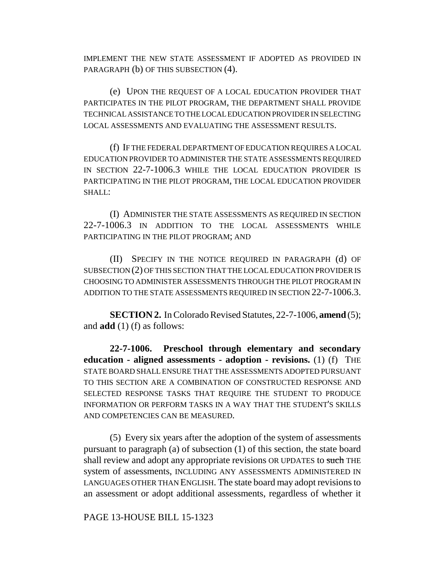IMPLEMENT THE NEW STATE ASSESSMENT IF ADOPTED AS PROVIDED IN PARAGRAPH (b) OF THIS SUBSECTION (4).

(e) UPON THE REQUEST OF A LOCAL EDUCATION PROVIDER THAT PARTICIPATES IN THE PILOT PROGRAM, THE DEPARTMENT SHALL PROVIDE TECHNICAL ASSISTANCE TO THE LOCAL EDUCATION PROVIDER IN SELECTING LOCAL ASSESSMENTS AND EVALUATING THE ASSESSMENT RESULTS.

(f) IF THE FEDERAL DEPARTMENT OF EDUCATION REQUIRES A LOCAL EDUCATION PROVIDER TO ADMINISTER THE STATE ASSESSMENTS REQUIRED IN SECTION 22-7-1006.3 WHILE THE LOCAL EDUCATION PROVIDER IS PARTICIPATING IN THE PILOT PROGRAM, THE LOCAL EDUCATION PROVIDER SHALL:

(I) ADMINISTER THE STATE ASSESSMENTS AS REQUIRED IN SECTION 22-7-1006.3 IN ADDITION TO THE LOCAL ASSESSMENTS WHILE PARTICIPATING IN THE PILOT PROGRAM; AND

(II) SPECIFY IN THE NOTICE REQUIRED IN PARAGRAPH (d) OF SUBSECTION (2) OF THIS SECTION THAT THE LOCAL EDUCATION PROVIDER IS CHOOSING TO ADMINISTER ASSESSMENTS THROUGH THE PILOT PROGRAM IN ADDITION TO THE STATE ASSESSMENTS REQUIRED IN SECTION 22-7-1006.3.

**SECTION 2.** In Colorado Revised Statutes, 22-7-1006, **amend** (5); and **add** (1) (f) as follows:

**22-7-1006. Preschool through elementary and secondary education - aligned assessments - adoption - revisions.** (1) (f) THE STATE BOARD SHALL ENSURE THAT THE ASSESSMENTS ADOPTED PURSUANT TO THIS SECTION ARE A COMBINATION OF CONSTRUCTED RESPONSE AND SELECTED RESPONSE TASKS THAT REQUIRE THE STUDENT TO PRODUCE INFORMATION OR PERFORM TASKS IN A WAY THAT THE STUDENT'S SKILLS AND COMPETENCIES CAN BE MEASURED.

(5) Every six years after the adoption of the system of assessments pursuant to paragraph (a) of subsection (1) of this section, the state board shall review and adopt any appropriate revisions OR UPDATES to such THE system of assessments, INCLUDING ANY ASSESSMENTS ADMINISTERED IN LANGUAGES OTHER THAN ENGLISH. The state board may adopt revisions to an assessment or adopt additional assessments, regardless of whether it

PAGE 13-HOUSE BILL 15-1323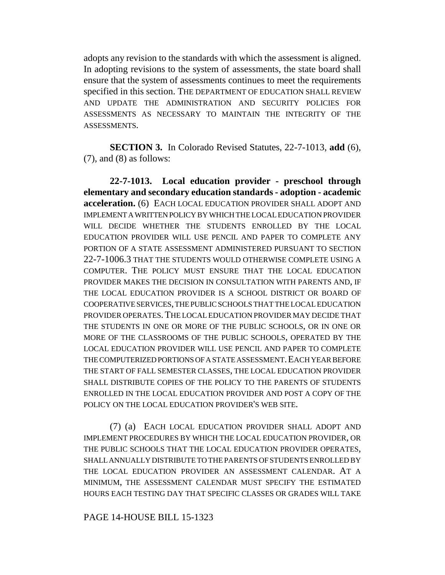adopts any revision to the standards with which the assessment is aligned. In adopting revisions to the system of assessments, the state board shall ensure that the system of assessments continues to meet the requirements specified in this section. THE DEPARTMENT OF EDUCATION SHALL REVIEW AND UPDATE THE ADMINISTRATION AND SECURITY POLICIES FOR ASSESSMENTS AS NECESSARY TO MAINTAIN THE INTEGRITY OF THE ASSESSMENTS.

**SECTION 3.** In Colorado Revised Statutes, 22-7-1013, **add** (6),  $(7)$ , and  $(8)$  as follows:

**22-7-1013. Local education provider - preschool through elementary and secondary education standards - adoption - academic acceleration.** (6) EACH LOCAL EDUCATION PROVIDER SHALL ADOPT AND IMPLEMENT A WRITTEN POLICY BY WHICH THE LOCAL EDUCATION PROVIDER WILL DECIDE WHETHER THE STUDENTS ENROLLED BY THE LOCAL EDUCATION PROVIDER WILL USE PENCIL AND PAPER TO COMPLETE ANY PORTION OF A STATE ASSESSMENT ADMINISTERED PURSUANT TO SECTION 22-7-1006.3 THAT THE STUDENTS WOULD OTHERWISE COMPLETE USING A COMPUTER. THE POLICY MUST ENSURE THAT THE LOCAL EDUCATION PROVIDER MAKES THE DECISION IN CONSULTATION WITH PARENTS AND, IF THE LOCAL EDUCATION PROVIDER IS A SCHOOL DISTRICT OR BOARD OF COOPERATIVE SERVICES, THE PUBLIC SCHOOLS THAT THE LOCAL EDUCATION PROVIDER OPERATES.THE LOCAL EDUCATION PROVIDER MAY DECIDE THAT THE STUDENTS IN ONE OR MORE OF THE PUBLIC SCHOOLS, OR IN ONE OR MORE OF THE CLASSROOMS OF THE PUBLIC SCHOOLS, OPERATED BY THE LOCAL EDUCATION PROVIDER WILL USE PENCIL AND PAPER TO COMPLETE THE COMPUTERIZED PORTIONS OF A STATE ASSESSMENT. EACH YEAR BEFORE THE START OF FALL SEMESTER CLASSES, THE LOCAL EDUCATION PROVIDER SHALL DISTRIBUTE COPIES OF THE POLICY TO THE PARENTS OF STUDENTS ENROLLED IN THE LOCAL EDUCATION PROVIDER AND POST A COPY OF THE POLICY ON THE LOCAL EDUCATION PROVIDER'S WEB SITE.

(7) (a) EACH LOCAL EDUCATION PROVIDER SHALL ADOPT AND IMPLEMENT PROCEDURES BY WHICH THE LOCAL EDUCATION PROVIDER, OR THE PUBLIC SCHOOLS THAT THE LOCAL EDUCATION PROVIDER OPERATES, SHALL ANNUALLY DISTRIBUTE TO THE PARENTS OF STUDENTS ENROLLED BY THE LOCAL EDUCATION PROVIDER AN ASSESSMENT CALENDAR. AT A MINIMUM, THE ASSESSMENT CALENDAR MUST SPECIFY THE ESTIMATED HOURS EACH TESTING DAY THAT SPECIFIC CLASSES OR GRADES WILL TAKE

## PAGE 14-HOUSE BILL 15-1323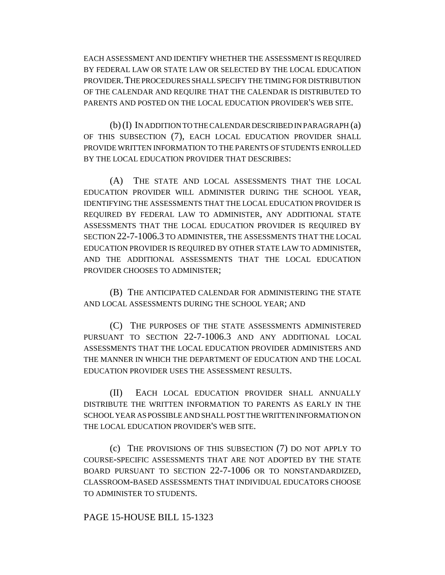EACH ASSESSMENT AND IDENTIFY WHETHER THE ASSESSMENT IS REQUIRED BY FEDERAL LAW OR STATE LAW OR SELECTED BY THE LOCAL EDUCATION PROVIDER.THE PROCEDURES SHALL SPECIFY THE TIMING FOR DISTRIBUTION OF THE CALENDAR AND REQUIRE THAT THE CALENDAR IS DISTRIBUTED TO PARENTS AND POSTED ON THE LOCAL EDUCATION PROVIDER'S WEB SITE.

(b) (I) IN ADDITION TO THE CALENDAR DESCRIBED IN PARAGRAPH (a) OF THIS SUBSECTION (7), EACH LOCAL EDUCATION PROVIDER SHALL PROVIDE WRITTEN INFORMATION TO THE PARENTS OF STUDENTS ENROLLED BY THE LOCAL EDUCATION PROVIDER THAT DESCRIBES:

(A) THE STATE AND LOCAL ASSESSMENTS THAT THE LOCAL EDUCATION PROVIDER WILL ADMINISTER DURING THE SCHOOL YEAR, IDENTIFYING THE ASSESSMENTS THAT THE LOCAL EDUCATION PROVIDER IS REQUIRED BY FEDERAL LAW TO ADMINISTER, ANY ADDITIONAL STATE ASSESSMENTS THAT THE LOCAL EDUCATION PROVIDER IS REQUIRED BY SECTION 22-7-1006.3 TO ADMINISTER, THE ASSESSMENTS THAT THE LOCAL EDUCATION PROVIDER IS REQUIRED BY OTHER STATE LAW TO ADMINISTER, AND THE ADDITIONAL ASSESSMENTS THAT THE LOCAL EDUCATION PROVIDER CHOOSES TO ADMINISTER;

(B) THE ANTICIPATED CALENDAR FOR ADMINISTERING THE STATE AND LOCAL ASSESSMENTS DURING THE SCHOOL YEAR; AND

(C) THE PURPOSES OF THE STATE ASSESSMENTS ADMINISTERED PURSUANT TO SECTION 22-7-1006.3 AND ANY ADDITIONAL LOCAL ASSESSMENTS THAT THE LOCAL EDUCATION PROVIDER ADMINISTERS AND THE MANNER IN WHICH THE DEPARTMENT OF EDUCATION AND THE LOCAL EDUCATION PROVIDER USES THE ASSESSMENT RESULTS.

(II) EACH LOCAL EDUCATION PROVIDER SHALL ANNUALLY DISTRIBUTE THE WRITTEN INFORMATION TO PARENTS AS EARLY IN THE SCHOOL YEAR AS POSSIBLE AND SHALL POST THE WRITTEN INFORMATION ON THE LOCAL EDUCATION PROVIDER'S WEB SITE.

(c) THE PROVISIONS OF THIS SUBSECTION (7) DO NOT APPLY TO COURSE-SPECIFIC ASSESSMENTS THAT ARE NOT ADOPTED BY THE STATE BOARD PURSUANT TO SECTION 22-7-1006 OR TO NONSTANDARDIZED, CLASSROOM-BASED ASSESSMENTS THAT INDIVIDUAL EDUCATORS CHOOSE TO ADMINISTER TO STUDENTS.

## PAGE 15-HOUSE BILL 15-1323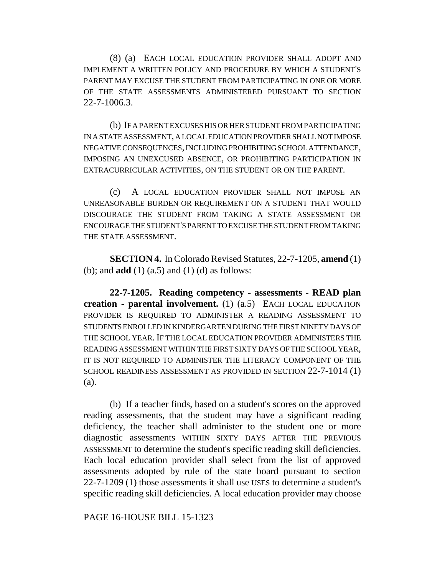(8) (a) EACH LOCAL EDUCATION PROVIDER SHALL ADOPT AND IMPLEMENT A WRITTEN POLICY AND PROCEDURE BY WHICH A STUDENT'S PARENT MAY EXCUSE THE STUDENT FROM PARTICIPATING IN ONE OR MORE OF THE STATE ASSESSMENTS ADMINISTERED PURSUANT TO SECTION 22-7-1006.3.

(b) IF A PARENT EXCUSES HIS OR HER STUDENT FROM PARTICIPATING IN A STATE ASSESSMENT, A LOCAL EDUCATION PROVIDER SHALL NOT IMPOSE NEGATIVE CONSEQUENCES, INCLUDING PROHIBITING SCHOOL ATTENDANCE, IMPOSING AN UNEXCUSED ABSENCE, OR PROHIBITING PARTICIPATION IN EXTRACURRICULAR ACTIVITIES, ON THE STUDENT OR ON THE PARENT.

(c) A LOCAL EDUCATION PROVIDER SHALL NOT IMPOSE AN UNREASONABLE BURDEN OR REQUIREMENT ON A STUDENT THAT WOULD DISCOURAGE THE STUDENT FROM TAKING A STATE ASSESSMENT OR ENCOURAGE THE STUDENT'S PARENT TO EXCUSE THE STUDENT FROM TAKING THE STATE ASSESSMENT.

**SECTION 4.** In Colorado Revised Statutes, 22-7-1205, **amend** (1) (b); and **add** (1) (a.5) and (1) (d) as follows:

**22-7-1205. Reading competency - assessments - READ plan creation - parental involvement.** (1) (a.5) EACH LOCAL EDUCATION PROVIDER IS REQUIRED TO ADMINISTER A READING ASSESSMENT TO STUDENTS ENROLLED IN KINDERGARTEN DURING THE FIRST NINETY DAYS OF THE SCHOOL YEAR. IF THE LOCAL EDUCATION PROVIDER ADMINISTERS THE READING ASSESSMENT WITHIN THE FIRST SIXTY DAYS OF THE SCHOOL YEAR, IT IS NOT REQUIRED TO ADMINISTER THE LITERACY COMPONENT OF THE SCHOOL READINESS ASSESSMENT AS PROVIDED IN SECTION 22-7-1014 (1) (a).

(b) If a teacher finds, based on a student's scores on the approved reading assessments, that the student may have a significant reading deficiency, the teacher shall administer to the student one or more diagnostic assessments WITHIN SIXTY DAYS AFTER THE PREVIOUS ASSESSMENT to determine the student's specific reading skill deficiencies. Each local education provider shall select from the list of approved assessments adopted by rule of the state board pursuant to section  $22$ -7-1209 (1) those assessments it shall use USES to determine a student's specific reading skill deficiencies. A local education provider may choose

PAGE 16-HOUSE BILL 15-1323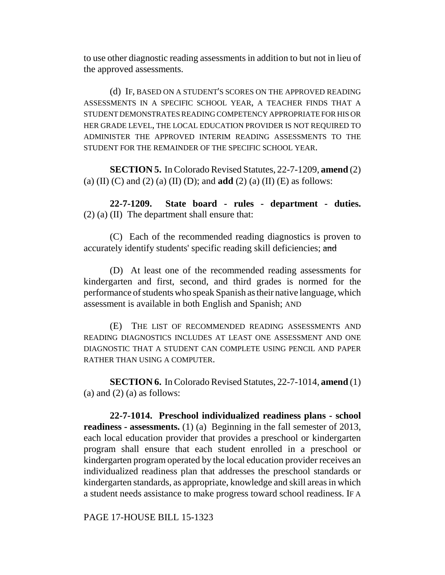to use other diagnostic reading assessments in addition to but not in lieu of the approved assessments.

(d) IF, BASED ON A STUDENT'S SCORES ON THE APPROVED READING ASSESSMENTS IN A SPECIFIC SCHOOL YEAR, A TEACHER FINDS THAT A STUDENT DEMONSTRATES READING COMPETENCY APPROPRIATE FOR HIS OR HER GRADE LEVEL, THE LOCAL EDUCATION PROVIDER IS NOT REQUIRED TO ADMINISTER THE APPROVED INTERIM READING ASSESSMENTS TO THE STUDENT FOR THE REMAINDER OF THE SPECIFIC SCHOOL YEAR.

**SECTION 5.** In Colorado Revised Statutes, 22-7-1209, **amend** (2) (a) (II) (C) and (2) (a) (II) (D); and **add** (2) (a) (II) (E) as follows:

**22-7-1209. State board - rules - department - duties.** (2) (a) (II) The department shall ensure that:

(C) Each of the recommended reading diagnostics is proven to accurately identify students' specific reading skill deficiencies; and

(D) At least one of the recommended reading assessments for kindergarten and first, second, and third grades is normed for the performance of students who speak Spanish as their native language, which assessment is available in both English and Spanish; AND

(E) THE LIST OF RECOMMENDED READING ASSESSMENTS AND READING DIAGNOSTICS INCLUDES AT LEAST ONE ASSESSMENT AND ONE DIAGNOSTIC THAT A STUDENT CAN COMPLETE USING PENCIL AND PAPER RATHER THAN USING A COMPUTER.

**SECTION 6.** In Colorado Revised Statutes, 22-7-1014, **amend** (1) (a) and  $(2)$  (a) as follows:

**22-7-1014. Preschool individualized readiness plans - school readiness - assessments.** (1) (a) Beginning in the fall semester of 2013, each local education provider that provides a preschool or kindergarten program shall ensure that each student enrolled in a preschool or kindergarten program operated by the local education provider receives an individualized readiness plan that addresses the preschool standards or kindergarten standards, as appropriate, knowledge and skill areas in which a student needs assistance to make progress toward school readiness. IF A

PAGE 17-HOUSE BILL 15-1323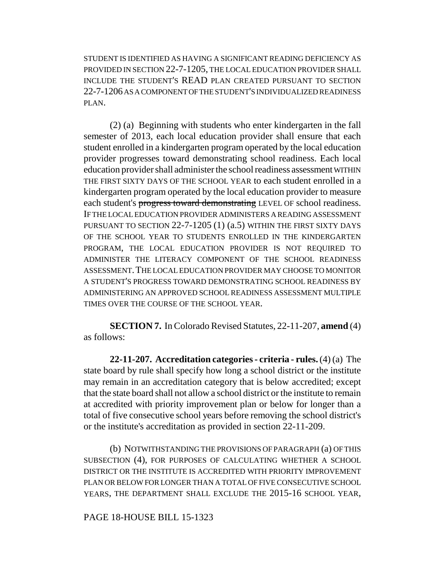STUDENT IS IDENTIFIED AS HAVING A SIGNIFICANT READING DEFICIENCY AS PROVIDED IN SECTION 22-7-1205, THE LOCAL EDUCATION PROVIDER SHALL INCLUDE THE STUDENT'S READ PLAN CREATED PURSUANT TO SECTION 22-7-1206 AS A COMPONENT OF THE STUDENT'S INDIVIDUALIZED READINESS PLAN.

(2) (a) Beginning with students who enter kindergarten in the fall semester of 2013, each local education provider shall ensure that each student enrolled in a kindergarten program operated by the local education provider progresses toward demonstrating school readiness. Each local education provider shall administer the school readiness assessment WITHIN THE FIRST SIXTY DAYS OF THE SCHOOL YEAR to each student enrolled in a kindergarten program operated by the local education provider to measure each student's progress toward demonstrating LEVEL OF school readiness. IF THE LOCAL EDUCATION PROVIDER ADMINISTERS A READING ASSESSMENT PURSUANT TO SECTION 22-7-1205 (1) (a.5) WITHIN THE FIRST SIXTY DAYS OF THE SCHOOL YEAR TO STUDENTS ENROLLED IN THE KINDERGARTEN PROGRAM, THE LOCAL EDUCATION PROVIDER IS NOT REQUIRED TO ADMINISTER THE LITERACY COMPONENT OF THE SCHOOL READINESS ASSESSMENT.THE LOCAL EDUCATION PROVIDER MAY CHOOSE TO MONITOR A STUDENT'S PROGRESS TOWARD DEMONSTRATING SCHOOL READINESS BY ADMINISTERING AN APPROVED SCHOOL READINESS ASSESSMENT MULTIPLE TIMES OVER THE COURSE OF THE SCHOOL YEAR.

**SECTION 7.** In Colorado Revised Statutes, 22-11-207, **amend** (4) as follows:

**22-11-207. Accreditation categories - criteria - rules.** (4) (a) The state board by rule shall specify how long a school district or the institute may remain in an accreditation category that is below accredited; except that the state board shall not allow a school district or the institute to remain at accredited with priority improvement plan or below for longer than a total of five consecutive school years before removing the school district's or the institute's accreditation as provided in section 22-11-209.

(b) NOTWITHSTANDING THE PROVISIONS OF PARAGRAPH (a) OF THIS SUBSECTION (4), FOR PURPOSES OF CALCULATING WHETHER A SCHOOL DISTRICT OR THE INSTITUTE IS ACCREDITED WITH PRIORITY IMPROVEMENT PLAN OR BELOW FOR LONGER THAN A TOTAL OF FIVE CONSECUTIVE SCHOOL YEARS, THE DEPARTMENT SHALL EXCLUDE THE 2015-16 SCHOOL YEAR,

# PAGE 18-HOUSE BILL 15-1323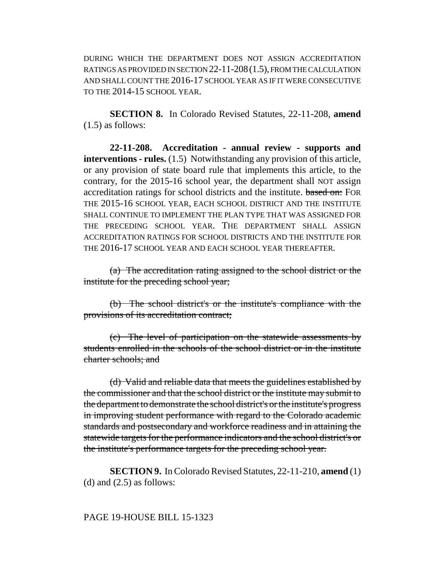DURING WHICH THE DEPARTMENT DOES NOT ASSIGN ACCREDITATION RATINGS AS PROVIDED IN SECTION 22-11-208(1.5), FROM THE CALCULATION AND SHALL COUNT THE 2016-17 SCHOOL YEAR AS IF IT WERE CONSECUTIVE TO THE 2014-15 SCHOOL YEAR.

**SECTION 8.** In Colorado Revised Statutes, 22-11-208, **amend** (1.5) as follows:

**22-11-208. Accreditation - annual review - supports and interventions - rules.** (1.5) Notwithstanding any provision of this article, or any provision of state board rule that implements this article, to the contrary, for the 2015-16 school year, the department shall NOT assign accreditation ratings for school districts and the institute. based on: FOR THE 2015-16 SCHOOL YEAR, EACH SCHOOL DISTRICT AND THE INSTITUTE SHALL CONTINUE TO IMPLEMENT THE PLAN TYPE THAT WAS ASSIGNED FOR THE PRECEDING SCHOOL YEAR. THE DEPARTMENT SHALL ASSIGN ACCREDITATION RATINGS FOR SCHOOL DISTRICTS AND THE INSTITUTE FOR THE 2016-17 SCHOOL YEAR AND EACH SCHOOL YEAR THEREAFTER.

(a) The accreditation rating assigned to the school district or the institute for the preceding school year;

(b) The school district's or the institute's compliance with the provisions of its accreditation contract;

(c) The level of participation on the statewide assessments by students enrolled in the schools of the school district or in the institute charter schools; and

(d) Valid and reliable data that meets the guidelines established by the commissioner and that the school district or the institute may submit to the department to demonstrate the school district's or the institute's progress in improving student performance with regard to the Colorado academic standards and postsecondary and workforce readiness and in attaining the statewide targets for the performance indicators and the school district's or the institute's performance targets for the preceding school year.

**SECTION 9.** In Colorado Revised Statutes, 22-11-210, **amend** (1) (d) and  $(2.5)$  as follows:

# PAGE 19-HOUSE BILL 15-1323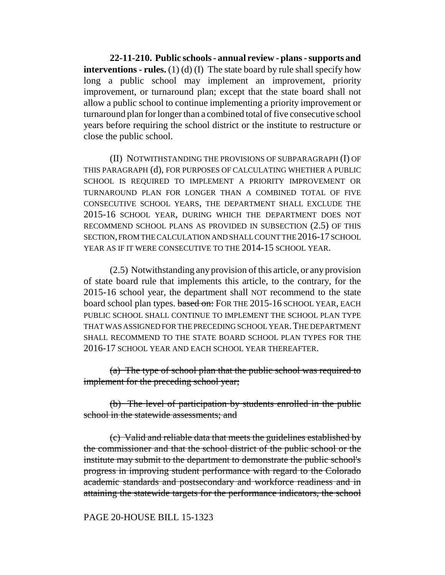**22-11-210. Public schools - annual review - plans - supports and interventions - rules.** (1) (d) (I) The state board by rule shall specify how long a public school may implement an improvement, priority improvement, or turnaround plan; except that the state board shall not allow a public school to continue implementing a priority improvement or turnaround plan for longer than a combined total of five consecutive school years before requiring the school district or the institute to restructure or close the public school.

(II) NOTWITHSTANDING THE PROVISIONS OF SUBPARAGRAPH (I) OF THIS PARAGRAPH (d), FOR PURPOSES OF CALCULATING WHETHER A PUBLIC SCHOOL IS REQUIRED TO IMPLEMENT A PRIORITY IMPROVEMENT OR TURNAROUND PLAN FOR LONGER THAN A COMBINED TOTAL OF FIVE CONSECUTIVE SCHOOL YEARS, THE DEPARTMENT SHALL EXCLUDE THE 2015-16 SCHOOL YEAR, DURING WHICH THE DEPARTMENT DOES NOT RECOMMEND SCHOOL PLANS AS PROVIDED IN SUBSECTION (2.5) OF THIS SECTION, FROM THE CALCULATION AND SHALL COUNT THE 2016-17 SCHOOL YEAR AS IF IT WERE CONSECUTIVE TO THE 2014-15 SCHOOL YEAR.

(2.5) Notwithstanding any provision of this article, or any provision of state board rule that implements this article, to the contrary, for the 2015-16 school year, the department shall NOT recommend to the state board school plan types. based on: FOR THE 2015-16 SCHOOL YEAR, EACH PUBLIC SCHOOL SHALL CONTINUE TO IMPLEMENT THE SCHOOL PLAN TYPE THAT WAS ASSIGNED FOR THE PRECEDING SCHOOL YEAR.THE DEPARTMENT SHALL RECOMMEND TO THE STATE BOARD SCHOOL PLAN TYPES FOR THE 2016-17 SCHOOL YEAR AND EACH SCHOOL YEAR THEREAFTER.

(a) The type of school plan that the public school was required to implement for the preceding school year;

(b) The level of participation by students enrolled in the public school in the statewide assessments; and

(c) Valid and reliable data that meets the guidelines established by the commissioner and that the school district of the public school or the institute may submit to the department to demonstrate the public school's progress in improving student performance with regard to the Colorado academic standards and postsecondary and workforce readiness and in attaining the statewide targets for the performance indicators, the school

#### PAGE 20-HOUSE BILL 15-1323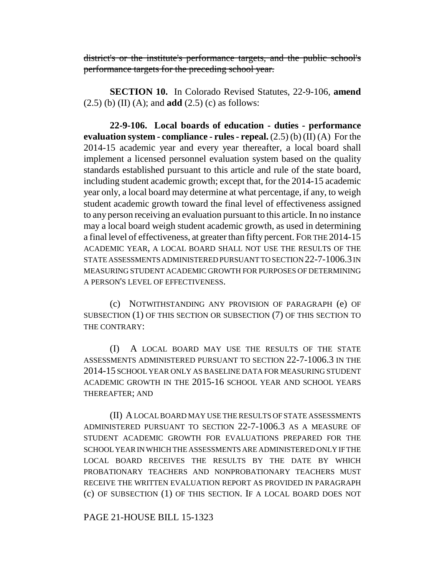district's or the institute's performance targets, and the public school's performance targets for the preceding school year.

**SECTION 10.** In Colorado Revised Statutes, 22-9-106, **amend** (2.5) (b) (II) (A); and **add** (2.5) (c) as follows:

**22-9-106. Local boards of education - duties - performance evaluation system - compliance - rules - repeal.** (2.5) (b) (II) (A) For the 2014-15 academic year and every year thereafter, a local board shall implement a licensed personnel evaluation system based on the quality standards established pursuant to this article and rule of the state board, including student academic growth; except that, for the 2014-15 academic year only, a local board may determine at what percentage, if any, to weigh student academic growth toward the final level of effectiveness assigned to any person receiving an evaluation pursuant to this article. In no instance may a local board weigh student academic growth, as used in determining a final level of effectiveness, at greater than fifty percent. FOR THE 2014-15 ACADEMIC YEAR, A LOCAL BOARD SHALL NOT USE THE RESULTS OF THE STATE ASSESSMENTS ADMINISTERED PURSUANT TO SECTION 22-7-1006.3 IN MEASURING STUDENT ACADEMIC GROWTH FOR PURPOSES OF DETERMINING A PERSON'S LEVEL OF EFFECTIVENESS.

(c) NOTWITHSTANDING ANY PROVISION OF PARAGRAPH (e) OF SUBSECTION (1) OF THIS SECTION OR SUBSECTION (7) OF THIS SECTION TO THE CONTRARY:

(I) A LOCAL BOARD MAY USE THE RESULTS OF THE STATE ASSESSMENTS ADMINISTERED PURSUANT TO SECTION 22-7-1006.3 IN THE 2014-15 SCHOOL YEAR ONLY AS BASELINE DATA FOR MEASURING STUDENT ACADEMIC GROWTH IN THE 2015-16 SCHOOL YEAR AND SCHOOL YEARS THEREAFTER; AND

(II) A LOCAL BOARD MAY USE THE RESULTS OF STATE ASSESSMENTS ADMINISTERED PURSUANT TO SECTION 22-7-1006.3 AS A MEASURE OF STUDENT ACADEMIC GROWTH FOR EVALUATIONS PREPARED FOR THE SCHOOL YEAR IN WHICH THE ASSESSMENTS ARE ADMINISTERED ONLY IF THE LOCAL BOARD RECEIVES THE RESULTS BY THE DATE BY WHICH PROBATIONARY TEACHERS AND NONPROBATIONARY TEACHERS MUST RECEIVE THE WRITTEN EVALUATION REPORT AS PROVIDED IN PARAGRAPH (c) OF SUBSECTION (1) OF THIS SECTION. IF A LOCAL BOARD DOES NOT

PAGE 21-HOUSE BILL 15-1323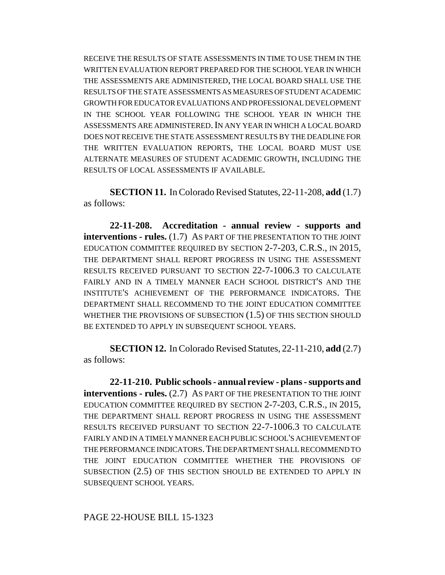RECEIVE THE RESULTS OF STATE ASSESSMENTS IN TIME TO USE THEM IN THE WRITTEN EVALUATION REPORT PREPARED FOR THE SCHOOL YEAR IN WHICH THE ASSESSMENTS ARE ADMINISTERED, THE LOCAL BOARD SHALL USE THE RESULTS OF THE STATE ASSESSMENTS AS MEASURES OF STUDENT ACADEMIC GROWTH FOR EDUCATOR EVALUATIONS AND PROFESSIONAL DEVELOPMENT IN THE SCHOOL YEAR FOLLOWING THE SCHOOL YEAR IN WHICH THE ASSESSMENTS ARE ADMINISTERED.IN ANY YEAR IN WHICH A LOCAL BOARD DOES NOT RECEIVE THE STATE ASSESSMENT RESULTS BY THE DEADLINE FOR THE WRITTEN EVALUATION REPORTS, THE LOCAL BOARD MUST USE ALTERNATE MEASURES OF STUDENT ACADEMIC GROWTH, INCLUDING THE RESULTS OF LOCAL ASSESSMENTS IF AVAILABLE.

**SECTION 11.** In Colorado Revised Statutes, 22-11-208, **add** (1.7) as follows:

**22-11-208. Accreditation - annual review - supports and interventions - rules.** (1.7) AS PART OF THE PRESENTATION TO THE JOINT EDUCATION COMMITTEE REQUIRED BY SECTION 2-7-203, C.R.S., IN 2015, THE DEPARTMENT SHALL REPORT PROGRESS IN USING THE ASSESSMENT RESULTS RECEIVED PURSUANT TO SECTION 22-7-1006.3 TO CALCULATE FAIRLY AND IN A TIMELY MANNER EACH SCHOOL DISTRICT'S AND THE INSTITUTE'S ACHIEVEMENT OF THE PERFORMANCE INDICATORS. THE DEPARTMENT SHALL RECOMMEND TO THE JOINT EDUCATION COMMITTEE WHETHER THE PROVISIONS OF SUBSECTION (1.5) OF THIS SECTION SHOULD BE EXTENDED TO APPLY IN SUBSEQUENT SCHOOL YEARS.

**SECTION 12.** In Colorado Revised Statutes, 22-11-210, **add** (2.7) as follows:

**22-11-210. Public schools - annual review - plans - supports and interventions - rules.** (2.7) AS PART OF THE PRESENTATION TO THE JOINT EDUCATION COMMITTEE REQUIRED BY SECTION 2-7-203, C.R.S., IN 2015, THE DEPARTMENT SHALL REPORT PROGRESS IN USING THE ASSESSMENT RESULTS RECEIVED PURSUANT TO SECTION 22-7-1006.3 TO CALCULATE FAIRLY AND IN A TIMELY MANNER EACH PUBLIC SCHOOL'S ACHIEVEMENT OF THE PERFORMANCE INDICATORS.THE DEPARTMENT SHALL RECOMMEND TO THE JOINT EDUCATION COMMITTEE WHETHER THE PROVISIONS OF SUBSECTION (2.5) OF THIS SECTION SHOULD BE EXTENDED TO APPLY IN SUBSEQUENT SCHOOL YEARS.

# PAGE 22-HOUSE BILL 15-1323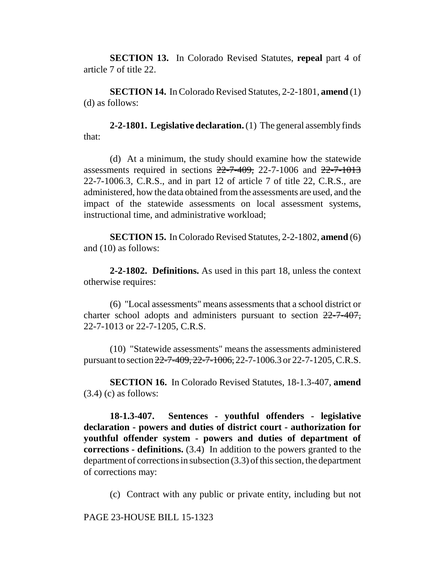**SECTION 13.** In Colorado Revised Statutes, **repeal** part 4 of article 7 of title 22.

**SECTION 14.** In Colorado Revised Statutes, 2-2-1801, **amend** (1) (d) as follows:

**2-2-1801. Legislative declaration.** (1) The general assembly finds that:

(d) At a minimum, the study should examine how the statewide assessments required in sections  $22-7-409$ , 22-7-1006 and  $22-7-1013$ 22-7-1006.3, C.R.S., and in part 12 of article 7 of title 22, C.R.S., are administered, how the data obtained from the assessments are used, and the impact of the statewide assessments on local assessment systems, instructional time, and administrative workload;

**SECTION 15.** In Colorado Revised Statutes, 2-2-1802, **amend** (6) and (10) as follows:

**2-2-1802. Definitions.** As used in this part 18, unless the context otherwise requires:

(6) "Local assessments" means assessments that a school district or charter school adopts and administers pursuant to section 22-7-407, 22-7-1013 or 22-7-1205, C.R.S.

(10) "Statewide assessments" means the assessments administered pursuant to section 22-7-409, 22-7-1006, 22-7-1006.3 or 22-7-1205, C.R.S.

**SECTION 16.** In Colorado Revised Statutes, 18-1.3-407, **amend**  $(3.4)$  (c) as follows:

**18-1.3-407. Sentences - youthful offenders - legislative declaration - powers and duties of district court - authorization for youthful offender system - powers and duties of department of corrections - definitions.** (3.4) In addition to the powers granted to the department of corrections in subsection (3.3) of this section, the department of corrections may:

(c) Contract with any public or private entity, including but not

PAGE 23-HOUSE BILL 15-1323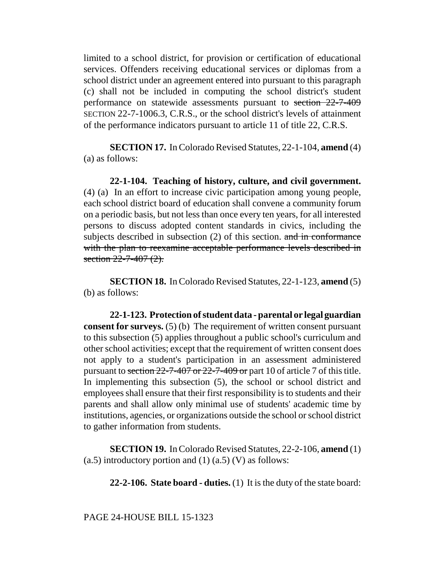limited to a school district, for provision or certification of educational services. Offenders receiving educational services or diplomas from a school district under an agreement entered into pursuant to this paragraph (c) shall not be included in computing the school district's student performance on statewide assessments pursuant to section 22-7-409 SECTION 22-7-1006.3, C.R.S., or the school district's levels of attainment of the performance indicators pursuant to article 11 of title 22, C.R.S.

**SECTION 17.** In Colorado Revised Statutes, 22-1-104, **amend** (4) (a) as follows:

**22-1-104. Teaching of history, culture, and civil government.** (4) (a) In an effort to increase civic participation among young people, each school district board of education shall convene a community forum on a periodic basis, but not less than once every ten years, for all interested persons to discuss adopted content standards in civics, including the subjects described in subsection (2) of this section. and in conformance with the plan to reexamine acceptable performance levels described in section  $22 - 7 - 407$   $(2)$ .

**SECTION 18.** In Colorado Revised Statutes, 22-1-123, **amend** (5) (b) as follows:

**22-1-123. Protection of student data - parental or legal guardian consent for surveys.** (5) (b) The requirement of written consent pursuant to this subsection (5) applies throughout a public school's curriculum and other school activities; except that the requirement of written consent does not apply to a student's participation in an assessment administered pursuant to section 22-7-407 or 22-7-409 or part 10 of article 7 of this title. In implementing this subsection (5), the school or school district and employees shall ensure that their first responsibility is to students and their parents and shall allow only minimal use of students' academic time by institutions, agencies, or organizations outside the school or school district to gather information from students.

**SECTION 19.** In Colorado Revised Statutes, 22-2-106, **amend** (1) (a.5) introductory portion and  $(1)$  (a.5) (V) as follows:

**22-2-106. State board - duties.** (1) It is the duty of the state board: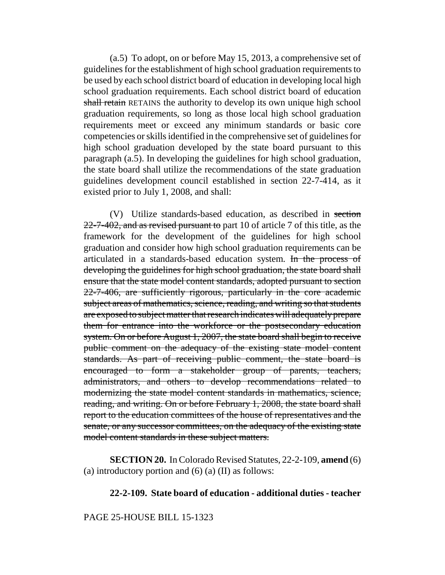(a.5) To adopt, on or before May 15, 2013, a comprehensive set of guidelines for the establishment of high school graduation requirements to be used by each school district board of education in developing local high school graduation requirements. Each school district board of education shall retain RETAINS the authority to develop its own unique high school graduation requirements, so long as those local high school graduation requirements meet or exceed any minimum standards or basic core competencies or skills identified in the comprehensive set of guidelines for high school graduation developed by the state board pursuant to this paragraph (a.5). In developing the guidelines for high school graduation, the state board shall utilize the recommendations of the state graduation guidelines development council established in section 22-7-414, as it existed prior to July 1, 2008, and shall:

(V) Utilize standards-based education, as described in section  $22$ -7-402, and as revised pursuant to part 10 of article 7 of this title, as the framework for the development of the guidelines for high school graduation and consider how high school graduation requirements can be articulated in a standards-based education system. In the process of developing the guidelines for high school graduation, the state board shall ensure that the state model content standards, adopted pursuant to section 22-7-406, are sufficiently rigorous, particularly in the core academic subject areas of mathematics, science, reading, and writing so that students are exposed to subject matter that research indicates will adequately prepare them for entrance into the workforce or the postsecondary education system. On or before August 1, 2007, the state board shall begin to receive public comment on the adequacy of the existing state model content standards. As part of receiving public comment, the state board is encouraged to form a stakeholder group of parents, teachers, administrators, and others to develop recommendations related to modernizing the state model content standards in mathematics, science, reading, and writing. On or before February 1, 2008, the state board shall report to the education committees of the house of representatives and the senate, or any successor committees, on the adequacy of the existing state model content standards in these subject matters.

**SECTION 20.** In Colorado Revised Statutes, 22-2-109, **amend** (6) (a) introductory portion and  $(6)$  (a)  $(II)$  as follows:

# **22-2-109. State board of education - additional duties - teacher**

# PAGE 25-HOUSE BILL 15-1323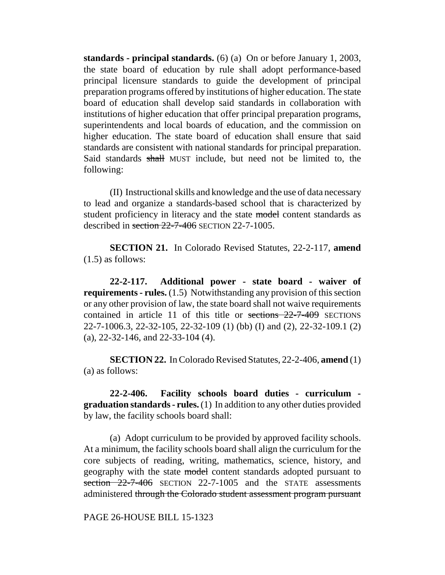**standards - principal standards.** (6) (a) On or before January 1, 2003, the state board of education by rule shall adopt performance-based principal licensure standards to guide the development of principal preparation programs offered by institutions of higher education. The state board of education shall develop said standards in collaboration with institutions of higher education that offer principal preparation programs, superintendents and local boards of education, and the commission on higher education. The state board of education shall ensure that said standards are consistent with national standards for principal preparation. Said standards shall MUST include, but need not be limited to, the following:

(II) Instructional skills and knowledge and the use of data necessary to lead and organize a standards-based school that is characterized by student proficiency in literacy and the state model content standards as described in section 22-7-406 SECTION 22-7-1005.

**SECTION 21.** In Colorado Revised Statutes, 22-2-117, **amend** (1.5) as follows:

**22-2-117. Additional power - state board - waiver of requirements - rules.** (1.5) Notwithstanding any provision of this section or any other provision of law, the state board shall not waive requirements contained in article 11 of this title or sections 22-7-409 SECTIONS 22-7-1006.3, 22-32-105, 22-32-109 (1) (bb) (I) and (2), 22-32-109.1 (2) (a), 22-32-146, and 22-33-104 (4).

**SECTION 22.** In Colorado Revised Statutes, 22-2-406, **amend** (1) (a) as follows:

**22-2-406. Facility schools board duties - curriculum graduation standards - rules.** (1) In addition to any other duties provided by law, the facility schools board shall:

(a) Adopt curriculum to be provided by approved facility schools. At a minimum, the facility schools board shall align the curriculum for the core subjects of reading, writing, mathematics, science, history, and geography with the state model content standards adopted pursuant to section 22-7-406 SECTION 22-7-1005 and the STATE assessments administered through the Colorado student assessment program pursuant

PAGE 26-HOUSE BILL 15-1323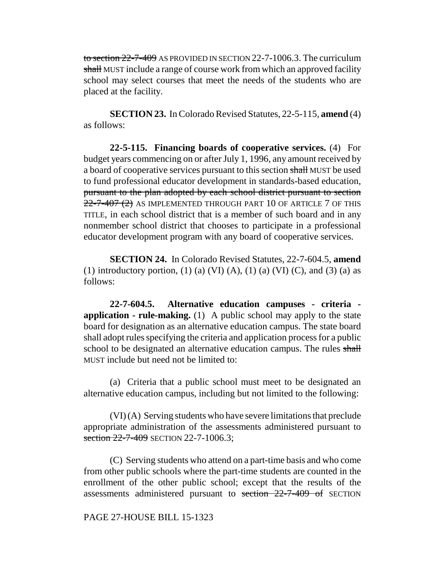to section 22-7-409 AS PROVIDED IN SECTION 22-7-1006.3. The curriculum shall MUST include a range of course work from which an approved facility school may select courses that meet the needs of the students who are placed at the facility.

**SECTION 23.** In Colorado Revised Statutes, 22-5-115, **amend** (4) as follows:

**22-5-115. Financing boards of cooperative services.** (4) For budget years commencing on or after July 1, 1996, any amount received by a board of cooperative services pursuant to this section shall MUST be used to fund professional educator development in standards-based education, pursuant to the plan adopted by each school district pursuant to section  $22$ -7-407 (2) AS IMPLEMENTED THROUGH PART 10 OF ARTICLE 7 OF THIS TITLE, in each school district that is a member of such board and in any nonmember school district that chooses to participate in a professional educator development program with any board of cooperative services.

**SECTION 24.** In Colorado Revised Statutes, 22-7-604.5, **amend** (1) introductory portion, (1) (a) (VI) (A), (1) (a) (VI) (C), and (3) (a) as follows:

**22-7-604.5. Alternative education campuses - criteria application - rule-making.** (1) A public school may apply to the state board for designation as an alternative education campus. The state board shall adopt rules specifying the criteria and application process for a public school to be designated an alternative education campus. The rules shall MUST include but need not be limited to:

(a) Criteria that a public school must meet to be designated an alternative education campus, including but not limited to the following:

(VI) (A) Serving students who have severe limitations that preclude appropriate administration of the assessments administered pursuant to section 22-7-409 SECTION 22-7-1006.3;

(C) Serving students who attend on a part-time basis and who come from other public schools where the part-time students are counted in the enrollment of the other public school; except that the results of the assessments administered pursuant to section 22-7-409 of SECTION

# PAGE 27-HOUSE BILL 15-1323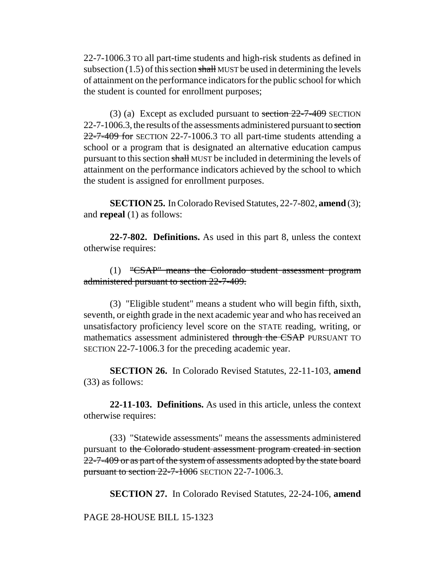22-7-1006.3 TO all part-time students and high-risk students as defined in subsection  $(1.5)$  of this section shall MUST be used in determining the levels of attainment on the performance indicators for the public school for which the student is counted for enrollment purposes;

(3) (a) Except as excluded pursuant to section  $22-7-409$  SECTION 22-7-1006.3, the results of the assessments administered pursuant to section  $22$ -7-409 for SECTION 22-7-1006.3 TO all part-time students attending a school or a program that is designated an alternative education campus pursuant to this section shall MUST be included in determining the levels of attainment on the performance indicators achieved by the school to which the student is assigned for enrollment purposes.

**SECTION 25.** In Colorado Revised Statutes, 22-7-802, **amend** (3); and **repeal** (1) as follows:

**22-7-802. Definitions.** As used in this part 8, unless the context otherwise requires:

(1) "CSAP" means the Colorado student assessment program administered pursuant to section 22-7-409.

(3) "Eligible student" means a student who will begin fifth, sixth, seventh, or eighth grade in the next academic year and who has received an unsatisfactory proficiency level score on the STATE reading, writing, or mathematics assessment administered through the CSAP PURSUANT TO SECTION 22-7-1006.3 for the preceding academic year.

**SECTION 26.** In Colorado Revised Statutes, 22-11-103, **amend** (33) as follows:

**22-11-103. Definitions.** As used in this article, unless the context otherwise requires:

(33) "Statewide assessments" means the assessments administered pursuant to the Colorado student assessment program created in section 22-7-409 or as part of the system of assessments adopted by the state board pursuant to section 22-7-1006 SECTION 22-7-1006.3.

**SECTION 27.** In Colorado Revised Statutes, 22-24-106, **amend**

PAGE 28-HOUSE BILL 15-1323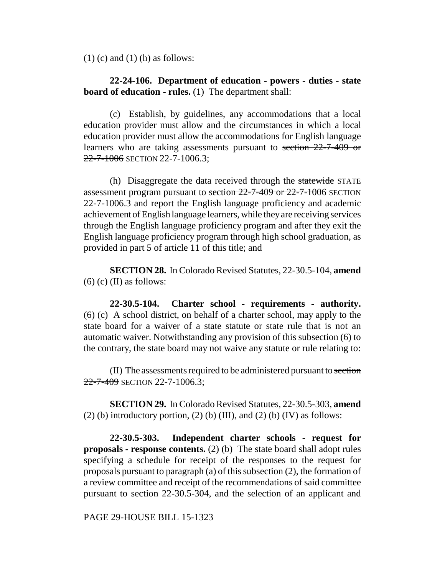$(1)$  (c) and  $(1)$  (h) as follows:

# **22-24-106. Department of education - powers - duties - state board of education - rules.** (1) The department shall:

(c) Establish, by guidelines, any accommodations that a local education provider must allow and the circumstances in which a local education provider must allow the accommodations for English language learners who are taking assessments pursuant to section 22-7-409 or 22-7-1006 SECTION 22-7-1006.3;

(h) Disaggregate the data received through the statewide STATE assessment program pursuant to section 22-7-409 or 22-7-1006 SECTION 22-7-1006.3 and report the English language proficiency and academic achievement of English language learners, while they are receiving services through the English language proficiency program and after they exit the English language proficiency program through high school graduation, as provided in part 5 of article 11 of this title; and

**SECTION 28.** In Colorado Revised Statutes, 22-30.5-104, **amend**  $(6)$  (c) (II) as follows:

**22-30.5-104. Charter school - requirements - authority.** (6) (c) A school district, on behalf of a charter school, may apply to the state board for a waiver of a state statute or state rule that is not an automatic waiver. Notwithstanding any provision of this subsection (6) to the contrary, the state board may not waive any statute or rule relating to:

(II) The assessments required to be administered pursuant to section 22-7-409 SECTION 22-7-1006.3;

**SECTION 29.** In Colorado Revised Statutes, 22-30.5-303, **amend** (2) (b) introductory portion, (2) (b) (III), and (2) (b) (IV) as follows:

**22-30.5-303. Independent charter schools - request for proposals - response contents.** (2) (b) The state board shall adopt rules specifying a schedule for receipt of the responses to the request for proposals pursuant to paragraph (a) of this subsection (2), the formation of a review committee and receipt of the recommendations of said committee pursuant to section 22-30.5-304, and the selection of an applicant and

PAGE 29-HOUSE BILL 15-1323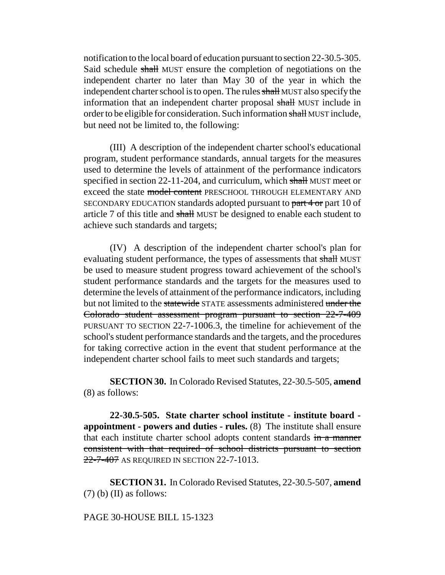notification to the local board of education pursuant to section 22-30.5-305. Said schedule shall MUST ensure the completion of negotiations on the independent charter no later than May 30 of the year in which the independent charter school is to open. The rules shall MUST also specify the information that an independent charter proposal shall MUST include in order to be eligible for consideration. Such information shall MUST include, but need not be limited to, the following:

(III) A description of the independent charter school's educational program, student performance standards, annual targets for the measures used to determine the levels of attainment of the performance indicators specified in section 22-11-204, and curriculum, which shall MUST meet or exceed the state model content PRESCHOOL THROUGH ELEMENTARY AND SECONDARY EDUCATION standards adopted pursuant to part 4 or part 10 of article 7 of this title and shall MUST be designed to enable each student to achieve such standards and targets;

(IV) A description of the independent charter school's plan for evaluating student performance, the types of assessments that shall MUST be used to measure student progress toward achievement of the school's student performance standards and the targets for the measures used to determine the levels of attainment of the performance indicators, including but not limited to the statewide STATE assessments administered under the Colorado student assessment program pursuant to section 22-7-409 PURSUANT TO SECTION 22-7-1006.3, the timeline for achievement of the school's student performance standards and the targets, and the procedures for taking corrective action in the event that student performance at the independent charter school fails to meet such standards and targets;

**SECTION 30.** In Colorado Revised Statutes, 22-30.5-505, **amend** (8) as follows:

**22-30.5-505. State charter school institute - institute board appointment - powers and duties - rules.** (8) The institute shall ensure that each institute charter school adopts content standards in a manner consistent with that required of school districts pursuant to section 22-7-407 AS REQUIRED IN SECTION 22-7-1013.

**SECTION 31.** In Colorado Revised Statutes, 22-30.5-507, **amend**  $(7)$  (b) (II) as follows:

## PAGE 30-HOUSE BILL 15-1323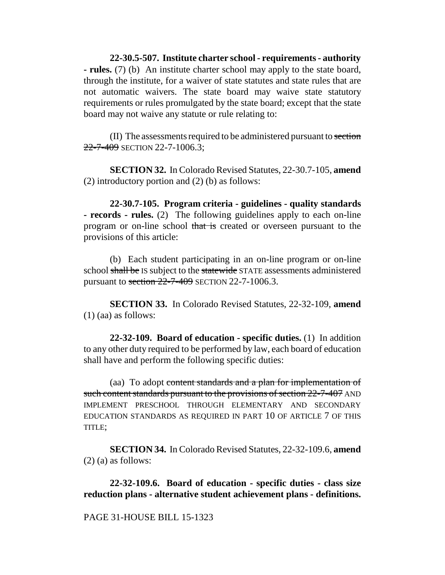**22-30.5-507. Institute charter school - requirements - authority - rules.** (7) (b) An institute charter school may apply to the state board, through the institute, for a waiver of state statutes and state rules that are not automatic waivers. The state board may waive state statutory requirements or rules promulgated by the state board; except that the state board may not waive any statute or rule relating to:

(II) The assessments required to be administered pursuant to section 22-7-409 SECTION 22-7-1006.3:

**SECTION 32.** In Colorado Revised Statutes, 22-30.7-105, **amend** (2) introductory portion and (2) (b) as follows:

**22-30.7-105. Program criteria - guidelines - quality standards - records - rules.** (2) The following guidelines apply to each on-line program or on-line school that is created or overseen pursuant to the provisions of this article:

(b) Each student participating in an on-line program or on-line school shall be IS subject to the statewide STATE assessments administered pursuant to section  $22$ -7-409 SECTION 22-7-1006.3.

**SECTION 33.** In Colorado Revised Statutes, 22-32-109, **amend** (1) (aa) as follows:

**22-32-109. Board of education - specific duties.** (1) In addition to any other duty required to be performed by law, each board of education shall have and perform the following specific duties:

(aa) To adopt content standards and a plan for implementation of such content standards pursuant to the provisions of section 22-7-407 AND IMPLEMENT PRESCHOOL THROUGH ELEMENTARY AND SECONDARY EDUCATION STANDARDS AS REQUIRED IN PART 10 OF ARTICLE 7 OF THIS TITLE;

**SECTION 34.** In Colorado Revised Statutes, 22-32-109.6, **amend** (2) (a) as follows:

**22-32-109.6. Board of education - specific duties - class size reduction plans - alternative student achievement plans - definitions.**

## PAGE 31-HOUSE BILL 15-1323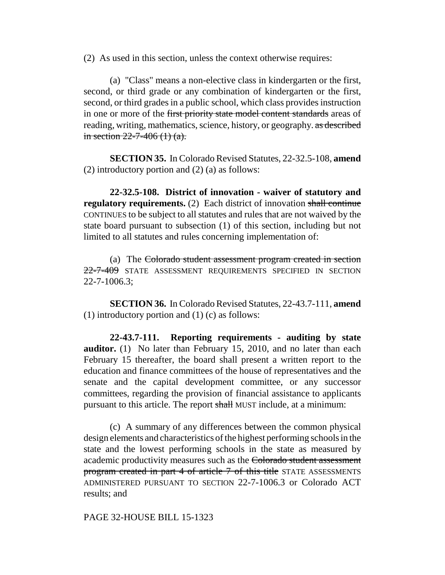(2) As used in this section, unless the context otherwise requires:

(a) "Class" means a non-elective class in kindergarten or the first, second, or third grade or any combination of kindergarten or the first, second, or third grades in a public school, which class provides instruction in one or more of the first priority state model content standards areas of reading, writing, mathematics, science, history, or geography. as described in section  $22 - 7 - 406$  (1) (a).

**SECTION 35.** In Colorado Revised Statutes, 22-32.5-108, **amend** (2) introductory portion and (2) (a) as follows:

**22-32.5-108. District of innovation - waiver of statutory and regulatory requirements.** (2) Each district of innovation shall continue CONTINUES to be subject to all statutes and rules that are not waived by the state board pursuant to subsection (1) of this section, including but not limited to all statutes and rules concerning implementation of:

(a) The Colorado student assessment program created in section 22-7-409 STATE ASSESSMENT REQUIREMENTS SPECIFIED IN SECTION  $22 - 7 - 1006.3$ ;

**SECTION 36.** In Colorado Revised Statutes, 22-43.7-111, **amend** (1) introductory portion and (1) (c) as follows:

**22-43.7-111. Reporting requirements - auditing by state auditor.** (1) No later than February 15, 2010, and no later than each February 15 thereafter, the board shall present a written report to the education and finance committees of the house of representatives and the senate and the capital development committee, or any successor committees, regarding the provision of financial assistance to applicants pursuant to this article. The report shall MUST include, at a minimum:

(c) A summary of any differences between the common physical design elements and characteristics of the highest performing schools in the state and the lowest performing schools in the state as measured by academic productivity measures such as the Colorado student assessment program created in part 4 of article 7 of this title STATE ASSESSMENTS ADMINISTERED PURSUANT TO SECTION 22-7-1006.3 or Colorado ACT results; and

PAGE 32-HOUSE BILL 15-1323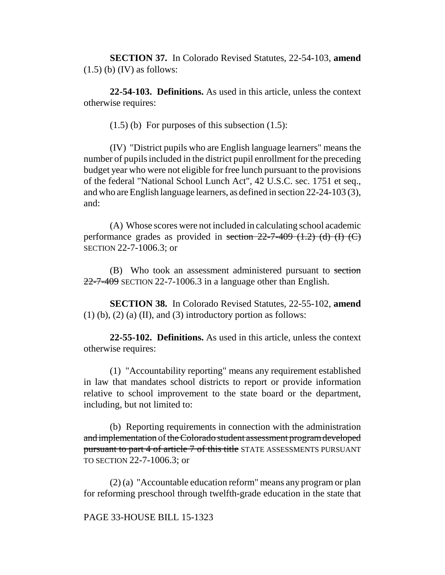**SECTION 37.** In Colorado Revised Statutes, 22-54-103, **amend**  $(1.5)$  (b)  $(IV)$  as follows:

**22-54-103. Definitions.** As used in this article, unless the context otherwise requires:

 $(1.5)$  (b) For purposes of this subsection  $(1.5)$ :

(IV) "District pupils who are English language learners" means the number of pupils included in the district pupil enrollment for the preceding budget year who were not eligible for free lunch pursuant to the provisions of the federal "National School Lunch Act", 42 U.S.C. sec. 1751 et seq., and who are English language learners, as defined in section 22-24-103 (3), and:

(A) Whose scores were not included in calculating school academic performance grades as provided in section  $22-7-409$  (1.2) (d) (I) (C) SECTION 22-7-1006.3; or

(B) Who took an assessment administered pursuant to section  $22$ -7-409 SECTION 22-7-1006.3 in a language other than English.

**SECTION 38.** In Colorado Revised Statutes, 22-55-102, **amend**  $(1)$  (b),  $(2)$  (a) (II), and  $(3)$  introductory portion as follows:

**22-55-102. Definitions.** As used in this article, unless the context otherwise requires:

(1) "Accountability reporting" means any requirement established in law that mandates school districts to report or provide information relative to school improvement to the state board or the department, including, but not limited to:

(b) Reporting requirements in connection with the administration and implementation of the Colorado student assessment program developed pursuant to part 4 of article 7 of this title STATE ASSESSMENTS PURSUANT TO SECTION 22-7-1006.3; or

(2) (a) "Accountable education reform" means any program or plan for reforming preschool through twelfth-grade education in the state that

#### PAGE 33-HOUSE BILL 15-1323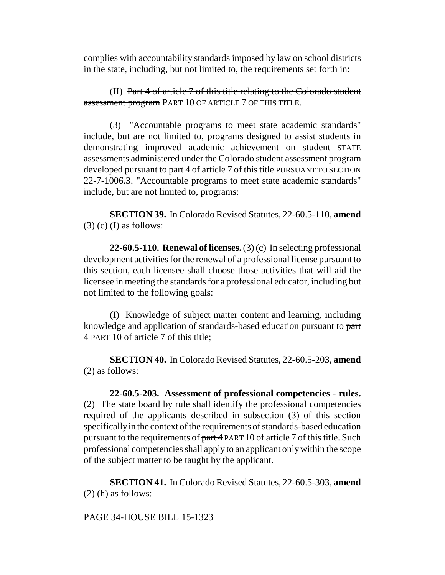complies with accountability standards imposed by law on school districts in the state, including, but not limited to, the requirements set forth in:

(II) Part 4 of article 7 of this title relating to the Colorado student assessment program PART 10 OF ARTICLE 7 OF THIS TITLE.

(3) "Accountable programs to meet state academic standards" include, but are not limited to, programs designed to assist students in demonstrating improved academic achievement on student STATE assessments administered under the Colorado student assessment program developed pursuant to part 4 of article 7 of this title PURSUANT TO SECTION 22-7-1006.3. "Accountable programs to meet state academic standards" include, but are not limited to, programs:

**SECTION 39.** In Colorado Revised Statutes, 22-60.5-110, **amend**  $(3)$  (c) (I) as follows:

**22-60.5-110. Renewal of licenses.** (3) (c) In selecting professional development activities for the renewal of a professional license pursuant to this section, each licensee shall choose those activities that will aid the licensee in meeting the standards for a professional educator, including but not limited to the following goals:

(I) Knowledge of subject matter content and learning, including knowledge and application of standards-based education pursuant to part 4 PART 10 of article 7 of this title;

**SECTION 40.** In Colorado Revised Statutes, 22-60.5-203, **amend** (2) as follows:

**22-60.5-203. Assessment of professional competencies - rules.** (2) The state board by rule shall identify the professional competencies required of the applicants described in subsection (3) of this section specifically in the context of the requirements of standards-based education pursuant to the requirements of part 4 PART 10 of article 7 of this title. Such professional competencies shall apply to an applicant only within the scope of the subject matter to be taught by the applicant.

**SECTION 41.** In Colorado Revised Statutes, 22-60.5-303, **amend** (2) (h) as follows:

PAGE 34-HOUSE BILL 15-1323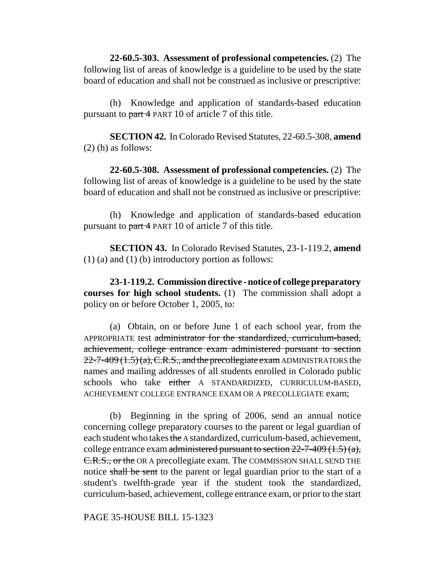**22-60.5-303. Assessment of professional competencies.** (2) The following list of areas of knowledge is a guideline to be used by the state board of education and shall not be construed as inclusive or prescriptive:

(h) Knowledge and application of standards-based education pursuant to part 4 PART 10 of article 7 of this title.

**SECTION 42.** In Colorado Revised Statutes, 22-60.5-308, **amend** (2) (h) as follows:

**22-60.5-308. Assessment of professional competencies.** (2) The following list of areas of knowledge is a guideline to be used by the state board of education and shall not be construed as inclusive or prescriptive:

(h) Knowledge and application of standards-based education pursuant to part 4 PART 10 of article 7 of this title.

**SECTION 43.** In Colorado Revised Statutes, 23-1-119.2, **amend** (1) (a) and (1) (b) introductory portion as follows:

**23-1-119.2. Commission directive - notice of college preparatory courses for high school students.** (1) The commission shall adopt a policy on or before October 1, 2005, to:

(a) Obtain, on or before June 1 of each school year, from the APPROPRIATE test administrator for the standardized, curriculum-based, achievement, college entrance exam administered pursuant to section  $22$ -7-409 (1.5) (a), C.R.S., and the precollegiate exam ADMINISTRATORS the names and mailing addresses of all students enrolled in Colorado public schools who take either A STANDARDIZED, CURRICULUM-BASED, ACHIEVEMENT COLLEGE ENTRANCE EXAM OR A PRECOLLEGIATE exam;

(b) Beginning in the spring of 2006, send an annual notice concerning college preparatory courses to the parent or legal guardian of each student who takes the A standardized, curriculum-based, achievement, college entrance exam administered pursuant to section  $22$ -7-409 (1.5) (a), C.R.S., or the OR A precollegiate exam. The COMMISSION SHALL SEND THE notice shall be sent to the parent or legal guardian prior to the start of a student's twelfth-grade year if the student took the standardized, curriculum-based, achievement, college entrance exam, or prior to the start

PAGE 35-HOUSE BILL 15-1323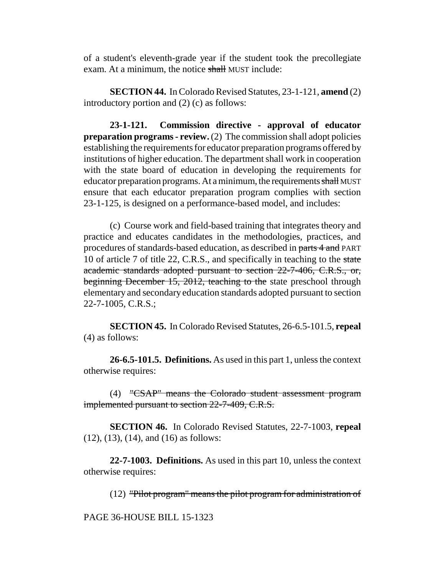of a student's eleventh-grade year if the student took the precollegiate exam. At a minimum, the notice shall MUST include:

**SECTION 44.** In Colorado Revised Statutes, 23-1-121, **amend** (2) introductory portion and (2) (c) as follows:

**23-1-121. Commission directive - approval of educator preparation programs - review.** (2) The commission shall adopt policies establishing the requirements for educator preparation programs offered by institutions of higher education. The department shall work in cooperation with the state board of education in developing the requirements for educator preparation programs. At a minimum, the requirements shall MUST ensure that each educator preparation program complies with section 23-1-125, is designed on a performance-based model, and includes:

(c) Course work and field-based training that integrates theory and practice and educates candidates in the methodologies, practices, and procedures of standards-based education, as described in parts 4 and PART 10 of article 7 of title 22, C.R.S., and specifically in teaching to the state academic standards adopted pursuant to section 22-7-406, C.R.S., or, beginning December 15, 2012, teaching to the state preschool through elementary and secondary education standards adopted pursuant to section 22-7-1005, C.R.S.;

**SECTION 45.** In Colorado Revised Statutes, 26-6.5-101.5, **repeal** (4) as follows:

**26-6.5-101.5. Definitions.** As used in this part 1, unless the context otherwise requires:

(4) "CSAP" means the Colorado student assessment program implemented pursuant to section 22-7-409, C.R.S.

**SECTION 46.** In Colorado Revised Statutes, 22-7-1003, **repeal** (12), (13), (14), and (16) as follows:

**22-7-1003. Definitions.** As used in this part 10, unless the context otherwise requires:

(12) "Pilot program" means the pilot program for administration of

PAGE 36-HOUSE BILL 15-1323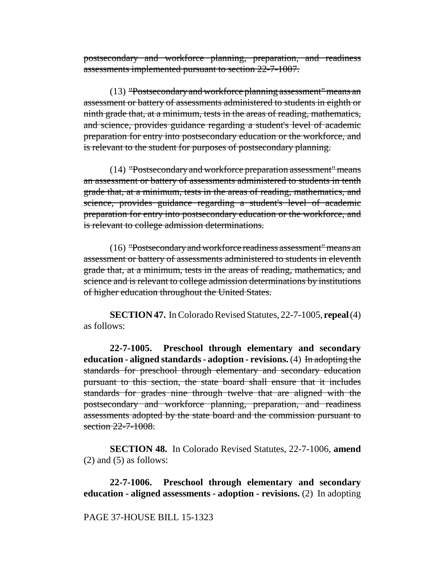postsecondary and workforce planning, preparation, and readiness assessments implemented pursuant to section 22-7-1007.

(13) "Postsecondary and workforce planning assessment" means an assessment or battery of assessments administered to students in eighth or ninth grade that, at a minimum, tests in the areas of reading, mathematics, and science, provides guidance regarding a student's level of academic preparation for entry into postsecondary education or the workforce, and is relevant to the student for purposes of postsecondary planning.

(14) "Postsecondary and workforce preparation assessment" means an assessment or battery of assessments administered to students in tenth grade that, at a minimum, tests in the areas of reading, mathematics, and science, provides guidance regarding a student's level of academic preparation for entry into postsecondary education or the workforce, and is relevant to college admission determinations.

(16) "Postsecondary and workforce readiness assessment" means an assessment or battery of assessments administered to students in eleventh grade that, at a minimum, tests in the areas of reading, mathematics, and science and is relevant to college admission determinations by institutions of higher education throughout the United States.

**SECTION 47.** In Colorado Revised Statutes, 22-7-1005, **repeal** (4) as follows:

**22-7-1005. Preschool through elementary and secondary education - aligned standards - adoption - revisions.** (4) In adopting the standards for preschool through elementary and secondary education pursuant to this section, the state board shall ensure that it includes standards for grades nine through twelve that are aligned with the postsecondary and workforce planning, preparation, and readiness assessments adopted by the state board and the commission pursuant to section 22-7-1008.

**SECTION 48.** In Colorado Revised Statutes, 22-7-1006, **amend**  $(2)$  and  $(5)$  as follows:

**22-7-1006. Preschool through elementary and secondary education - aligned assessments - adoption - revisions.** (2) In adopting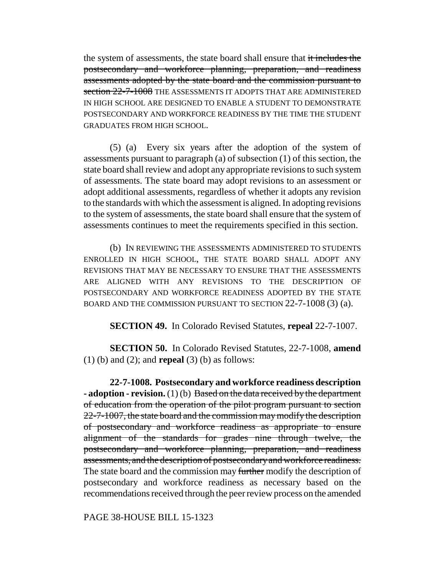the system of assessments, the state board shall ensure that it includes the postsecondary and workforce planning, preparation, and readiness assessments adopted by the state board and the commission pursuant to section 22-7-1008 THE ASSESSMENTS IT ADOPTS THAT ARE ADMINISTERED IN HIGH SCHOOL ARE DESIGNED TO ENABLE A STUDENT TO DEMONSTRATE POSTSECONDARY AND WORKFORCE READINESS BY THE TIME THE STUDENT GRADUATES FROM HIGH SCHOOL.

(5) (a) Every six years after the adoption of the system of assessments pursuant to paragraph (a) of subsection (1) of this section, the state board shall review and adopt any appropriate revisions to such system of assessments. The state board may adopt revisions to an assessment or adopt additional assessments, regardless of whether it adopts any revision to the standards with which the assessment is aligned. In adopting revisions to the system of assessments, the state board shall ensure that the system of assessments continues to meet the requirements specified in this section.

(b) IN REVIEWING THE ASSESSMENTS ADMINISTERED TO STUDENTS ENROLLED IN HIGH SCHOOL, THE STATE BOARD SHALL ADOPT ANY REVISIONS THAT MAY BE NECESSARY TO ENSURE THAT THE ASSESSMENTS ARE ALIGNED WITH ANY REVISIONS TO THE DESCRIPTION OF POSTSECONDARY AND WORKFORCE READINESS ADOPTED BY THE STATE BOARD AND THE COMMISSION PURSUANT TO SECTION 22-7-1008 (3) (a).

**SECTION 49.** In Colorado Revised Statutes, **repeal** 22-7-1007.

**SECTION 50.** In Colorado Revised Statutes, 22-7-1008, **amend** (1) (b) and (2); and **repeal** (3) (b) as follows:

**22-7-1008. Postsecondary and workforce readiness description - adoption - revision.** (1) (b) Based on the data received by the department of education from the operation of the pilot program pursuant to section 22-7-1007, the state board and the commission may modify the description of postsecondary and workforce readiness as appropriate to ensure alignment of the standards for grades nine through twelve, the postsecondary and workforce planning, preparation, and readiness assessments, and the description of postsecondary and workforce readiness. The state board and the commission may further modify the description of postsecondary and workforce readiness as necessary based on the recommendations received through the peer review process on the amended

PAGE 38-HOUSE BILL 15-1323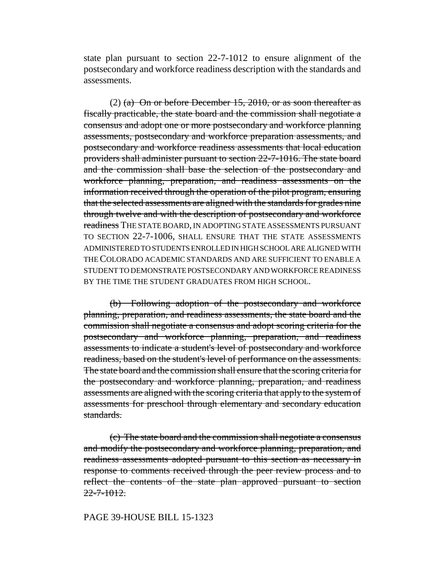state plan pursuant to section 22-7-1012 to ensure alignment of the postsecondary and workforce readiness description with the standards and assessments.

(2)  $(a)$  On or before December 15, 2010, or as soon thereafter as fiscally practicable, the state board and the commission shall negotiate a consensus and adopt one or more postsecondary and workforce planning assessments, postsecondary and workforce preparation assessments, and postsecondary and workforce readiness assessments that local education providers shall administer pursuant to section 22-7-1016. The state board and the commission shall base the selection of the postsecondary and workforce planning, preparation, and readiness assessments on the information received through the operation of the pilot program, ensuring that the selected assessments are aligned with the standards for grades nine through twelve and with the description of postsecondary and workforce readiness THE STATE BOARD, IN ADOPTING STATE ASSESSMENTS PURSUANT TO SECTION 22-7-1006, SHALL ENSURE THAT THE STATE ASSESSMENTS ADMINISTERED TO STUDENTS ENROLLED IN HIGH SCHOOL ARE ALIGNED WITH THE COLORADO ACADEMIC STANDARDS AND ARE SUFFICIENT TO ENABLE A STUDENT TO DEMONSTRATE POSTSECONDARY AND WORKFORCE READINESS BY THE TIME THE STUDENT GRADUATES FROM HIGH SCHOOL.

(b) Following adoption of the postsecondary and workforce planning, preparation, and readiness assessments, the state board and the commission shall negotiate a consensus and adopt scoring criteria for the postsecondary and workforce planning, preparation, and readiness assessments to indicate a student's level of postsecondary and workforce readiness, based on the student's level of performance on the assessments. The state board and the commission shall ensure that the scoring criteria for the postsecondary and workforce planning, preparation, and readiness assessments are aligned with the scoring criteria that apply to the system of assessments for preschool through elementary and secondary education standards.

(c) The state board and the commission shall negotiate a consensus and modify the postsecondary and workforce planning, preparation, and readiness assessments adopted pursuant to this section as necessary in response to comments received through the peer review process and to reflect the contents of the state plan approved pursuant to section  $22 - 7 - 1012$ 

## PAGE 39-HOUSE BILL 15-1323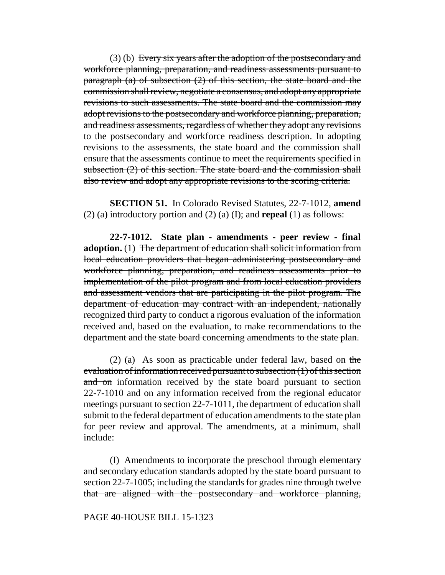(3) (b) Every six years after the adoption of the postsecondary and workforce planning, preparation, and readiness assessments pursuant to paragraph (a) of subsection (2) of this section, the state board and the commission shall review, negotiate a consensus, and adopt any appropriate revisions to such assessments. The state board and the commission may adopt revisions to the postsecondary and workforce planning, preparation, and readiness assessments, regardless of whether they adopt any revisions to the postsecondary and workforce readiness description. In adopting revisions to the assessments, the state board and the commission shall ensure that the assessments continue to meet the requirements specified in subsection  $(2)$  of this section. The state board and the commission shall also review and adopt any appropriate revisions to the scoring criteria.

**SECTION 51.** In Colorado Revised Statutes, 22-7-1012, **amend** (2) (a) introductory portion and (2) (a) (I); and **repeal** (1) as follows:

**22-7-1012. State plan - amendments - peer review - final adoption.** (1) The department of education shall solicit information from local education providers that began administering postsecondary and workforce planning, preparation, and readiness assessments prior to implementation of the pilot program and from local education providers and assessment vendors that are participating in the pilot program. The department of education may contract with an independent, nationally recognized third party to conduct a rigorous evaluation of the information received and, based on the evaluation, to make recommendations to the department and the state board concerning amendments to the state plan.

(2) (a) As soon as practicable under federal law, based on the evaluation of information received pursuant to subsection (1) of this section and on information received by the state board pursuant to section 22-7-1010 and on any information received from the regional educator meetings pursuant to section 22-7-1011, the department of education shall submit to the federal department of education amendments to the state plan for peer review and approval. The amendments, at a minimum, shall include:

(I) Amendments to incorporate the preschool through elementary and secondary education standards adopted by the state board pursuant to section 22-7-1005; including the standards for grades nine through twelve that are aligned with the postsecondary and workforce planning,

#### PAGE 40-HOUSE BILL 15-1323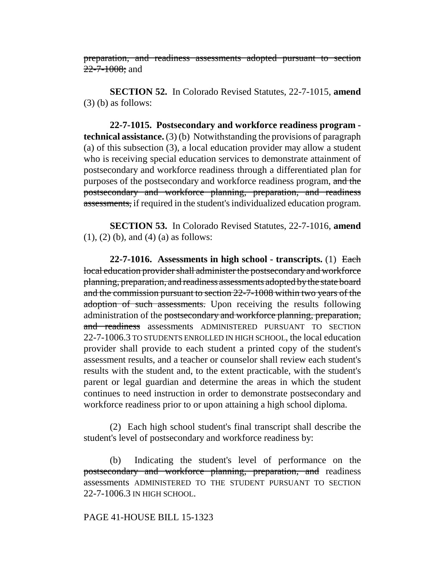preparation, and readiness assessments adopted pursuant to section 22-7-1008; and

**SECTION 52.** In Colorado Revised Statutes, 22-7-1015, **amend**  $(3)$  (b) as follows:

**22-7-1015. Postsecondary and workforce readiness program technical assistance.** (3) (b) Notwithstanding the provisions of paragraph (a) of this subsection (3), a local education provider may allow a student who is receiving special education services to demonstrate attainment of postsecondary and workforce readiness through a differentiated plan for purposes of the postsecondary and workforce readiness program, and the postsecondary and workforce planning, preparation, and readiness assessments, if required in the student's individualized education program.

**SECTION 53.** In Colorado Revised Statutes, 22-7-1016, **amend** (1), (2) (b), and (4) (a) as follows:

**22-7-1016. Assessments in high school - transcripts.** (1) Each local education provider shall administer the postsecondary and workforce planning, preparation, and readiness assessments adopted by the state board and the commission pursuant to section 22-7-1008 within two years of the adoption of such assessments. Upon receiving the results following administration of the postsecondary and workforce planning, preparation, and readiness assessments ADMINISTERED PURSUANT TO SECTION 22-7-1006.3 TO STUDENTS ENROLLED IN HIGH SCHOOL, the local education provider shall provide to each student a printed copy of the student's assessment results, and a teacher or counselor shall review each student's results with the student and, to the extent practicable, with the student's parent or legal guardian and determine the areas in which the student continues to need instruction in order to demonstrate postsecondary and workforce readiness prior to or upon attaining a high school diploma.

(2) Each high school student's final transcript shall describe the student's level of postsecondary and workforce readiness by:

(b) Indicating the student's level of performance on the postsecondary and workforce planning, preparation, and readiness assessments ADMINISTERED TO THE STUDENT PURSUANT TO SECTION 22-7-1006.3 IN HIGH SCHOOL.

## PAGE 41-HOUSE BILL 15-1323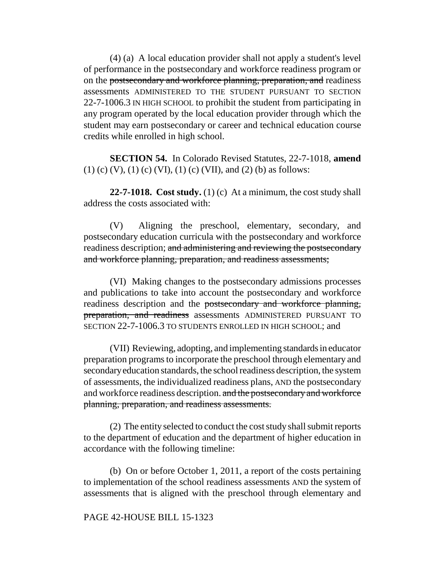(4) (a) A local education provider shall not apply a student's level of performance in the postsecondary and workforce readiness program or on the postsecondary and workforce planning, preparation, and readiness assessments ADMINISTERED TO THE STUDENT PURSUANT TO SECTION 22-7-1006.3 IN HIGH SCHOOL to prohibit the student from participating in any program operated by the local education provider through which the student may earn postsecondary or career and technical education course credits while enrolled in high school.

**SECTION 54.** In Colorado Revised Statutes, 22-7-1018, **amend** (1) (c) (V), (1) (c) (VI), (1) (c) (VII), and (2) (b) as follows:

**22-7-1018. Cost study.** (1) (c) At a minimum, the cost study shall address the costs associated with:

(V) Aligning the preschool, elementary, secondary, and postsecondary education curricula with the postsecondary and workforce readiness description; and administering and reviewing the postsecondary and workforce planning, preparation, and readiness assessments;

(VI) Making changes to the postsecondary admissions processes and publications to take into account the postsecondary and workforce readiness description and the postsecondary and workforce planning, preparation, and readiness assessments ADMINISTERED PURSUANT TO SECTION 22-7-1006.3 TO STUDENTS ENROLLED IN HIGH SCHOOL; and

(VII) Reviewing, adopting, and implementing standards in educator preparation programs to incorporate the preschool through elementary and secondary education standards, the school readiness description, the system of assessments, the individualized readiness plans, AND the postsecondary and workforce readiness description. and the postsecondary and workforce planning, preparation, and readiness assessments.

(2) The entity selected to conduct the cost study shall submit reports to the department of education and the department of higher education in accordance with the following timeline:

(b) On or before October 1, 2011, a report of the costs pertaining to implementation of the school readiness assessments AND the system of assessments that is aligned with the preschool through elementary and

# PAGE 42-HOUSE BILL 15-1323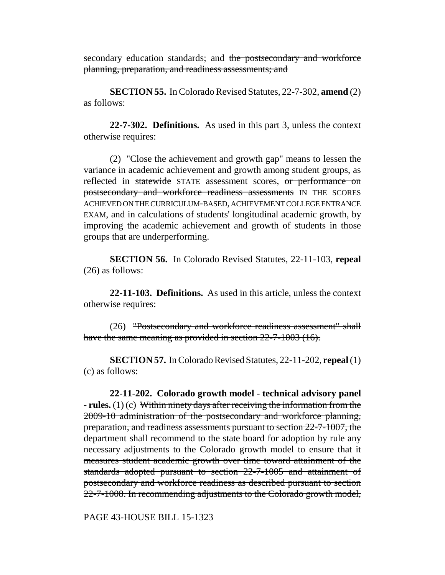secondary education standards; and the postsecondary and workforce planning, preparation, and readiness assessments; and

**SECTION 55.** In Colorado Revised Statutes, 22-7-302, **amend** (2) as follows:

**22-7-302. Definitions.** As used in this part 3, unless the context otherwise requires:

(2) "Close the achievement and growth gap" means to lessen the variance in academic achievement and growth among student groups, as reflected in statewide STATE assessment scores, or performance on postsecondary and workforce readiness assessments IN THE SCORES ACHIEVED ON THE CURRICULUM-BASED, ACHIEVEMENT COLLEGE ENTRANCE EXAM, and in calculations of students' longitudinal academic growth, by improving the academic achievement and growth of students in those groups that are underperforming.

**SECTION 56.** In Colorado Revised Statutes, 22-11-103, **repeal** (26) as follows:

**22-11-103. Definitions.** As used in this article, unless the context otherwise requires:

(26) "Postsecondary and workforce readiness assessment" shall have the same meaning as provided in section 22-7-1003 (16).

**SECTION 57.** In Colorado Revised Statutes, 22-11-202, **repeal** (1) (c) as follows:

**22-11-202. Colorado growth model - technical advisory panel - rules.** (1) (c) Within ninety days after receiving the information from the 2009-10 administration of the postsecondary and workforce planning, preparation, and readiness assessments pursuant to section 22-7-1007, the department shall recommend to the state board for adoption by rule any necessary adjustments to the Colorado growth model to ensure that it measures student academic growth over time toward attainment of the standards adopted pursuant to section 22-7-1005 and attainment of postsecondary and workforce readiness as described pursuant to section 22-7-1008. In recommending adjustments to the Colorado growth model,

PAGE 43-HOUSE BILL 15-1323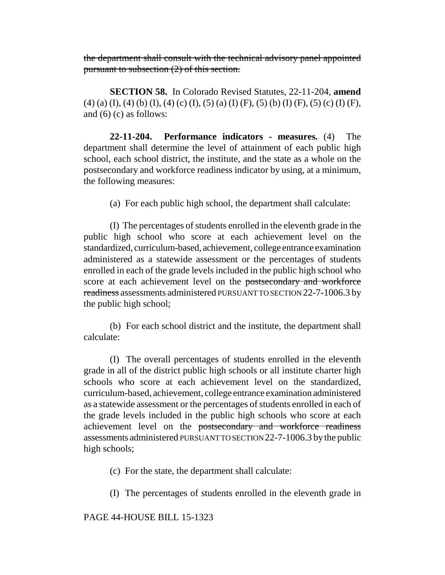the department shall consult with the technical advisory panel appointed pursuant to subsection (2) of this section.

**SECTION 58.** In Colorado Revised Statutes, 22-11-204, **amend** (4) (a) (I), (4) (b) (I), (4) (c) (I), (5) (a) (I) (F), (5) (b) (I) (F), (5) (c) (I) (F), and (6) (c) as follows:

**22-11-204. Performance indicators - measures.** (4) The department shall determine the level of attainment of each public high school, each school district, the institute, and the state as a whole on the postsecondary and workforce readiness indicator by using, at a minimum, the following measures:

(a) For each public high school, the department shall calculate:

(I) The percentages of students enrolled in the eleventh grade in the public high school who score at each achievement level on the standardized, curriculum-based, achievement, college entrance examination administered as a statewide assessment or the percentages of students enrolled in each of the grade levels included in the public high school who score at each achievement level on the postsecondary and workforce readiness assessments administered PURSUANT TO SECTION 22-7-1006.3 by the public high school;

(b) For each school district and the institute, the department shall calculate:

(I) The overall percentages of students enrolled in the eleventh grade in all of the district public high schools or all institute charter high schools who score at each achievement level on the standardized, curriculum-based, achievement, college entrance examination administered as a statewide assessment or the percentages of students enrolled in each of the grade levels included in the public high schools who score at each achievement level on the postsecondary and workforce readiness assessments administered PURSUANT TO SECTION 22-7-1006.3 by the public high schools;

(c) For the state, the department shall calculate:

(I) The percentages of students enrolled in the eleventh grade in

PAGE 44-HOUSE BILL 15-1323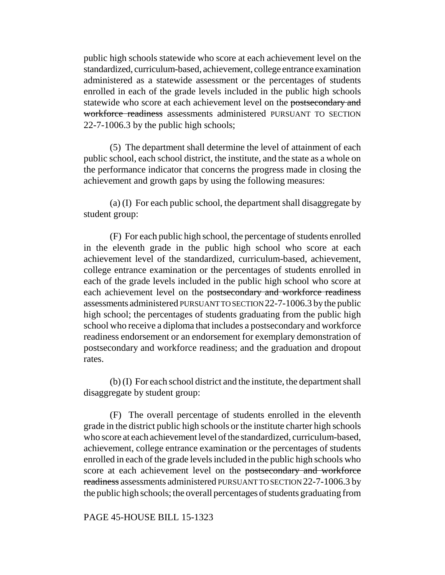public high schools statewide who score at each achievement level on the standardized, curriculum-based, achievement, college entrance examination administered as a statewide assessment or the percentages of students enrolled in each of the grade levels included in the public high schools statewide who score at each achievement level on the postsecondary and workforce readiness assessments administered PURSUANT TO SECTION 22-7-1006.3 by the public high schools;

(5) The department shall determine the level of attainment of each public school, each school district, the institute, and the state as a whole on the performance indicator that concerns the progress made in closing the achievement and growth gaps by using the following measures:

(a) (I) For each public school, the department shall disaggregate by student group:

(F) For each public high school, the percentage of students enrolled in the eleventh grade in the public high school who score at each achievement level of the standardized, curriculum-based, achievement, college entrance examination or the percentages of students enrolled in each of the grade levels included in the public high school who score at each achievement level on the postsecondary and workforce readiness assessments administered PURSUANT TO SECTION 22-7-1006.3 by the public high school; the percentages of students graduating from the public high school who receive a diploma that includes a postsecondary and workforce readiness endorsement or an endorsement for exemplary demonstration of postsecondary and workforce readiness; and the graduation and dropout rates.

(b) (I) For each school district and the institute, the department shall disaggregate by student group:

(F) The overall percentage of students enrolled in the eleventh grade in the district public high schools or the institute charter high schools who score at each achievement level of the standardized, curriculum-based, achievement, college entrance examination or the percentages of students enrolled in each of the grade levels included in the public high schools who score at each achievement level on the postsecondary and workforce readiness assessments administered PURSUANT TO SECTION 22-7-1006.3 by the public high schools; the overall percentages of students graduating from

# PAGE 45-HOUSE BILL 15-1323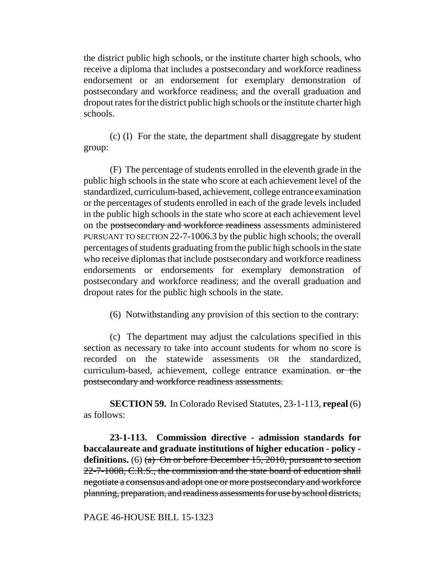the district public high schools, or the institute charter high schools, who receive a diploma that includes a postsecondary and workforce readiness endorsement or an endorsement for exemplary demonstration of postsecondary and workforce readiness; and the overall graduation and dropout rates for the district public high schools or the institute charter high schools.

(c) (I) For the state, the department shall disaggregate by student group:

(F) The percentage of students enrolled in the eleventh grade in the public high schools in the state who score at each achievement level of the standardized, curriculum-based, achievement, college entrance examination or the percentages of students enrolled in each of the grade levels included in the public high schools in the state who score at each achievement level on the postsecondary and workforce readiness assessments administered PURSUANT TO SECTION 22-7-1006.3 by the public high schools; the overall percentages of students graduating from the public high schools in the state who receive diplomas that include postsecondary and workforce readiness endorsements or endorsements for exemplary demonstration of postsecondary and workforce readiness; and the overall graduation and dropout rates for the public high schools in the state.

(6) Notwithstanding any provision of this section to the contrary:

(c) The department may adjust the calculations specified in this section as necessary to take into account students for whom no score is recorded on the statewide assessments OR the standardized, curriculum-based, achievement, college entrance examination. or the postsecondary and workforce readiness assessments.

**SECTION 59.** In Colorado Revised Statutes, 23-1-113, **repeal** (6) as follows:

**23-1-113. Commission directive - admission standards for baccalaureate and graduate institutions of higher education - policy**  definitions. (6) (a) On or before December 15, 2010, pursuant to section 22-7-1008, C.R.S., the commission and the state board of education shall negotiate a consensus and adopt one or more postsecondary and workforce planning, preparation, and readiness assessments for use by school districts,

PAGE 46-HOUSE BILL 15-1323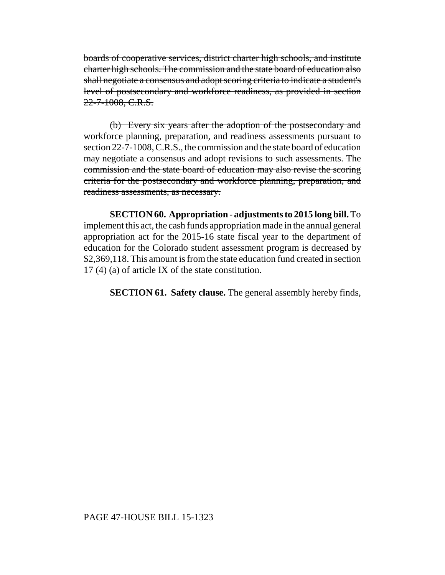boards of cooperative services, district charter high schools, and institute charter high schools. The commission and the state board of education also shall negotiate a consensus and adopt scoring criteria to indicate a student's level of postsecondary and workforce readiness, as provided in section 22-7-1008, C.R.S.

(b) Every six years after the adoption of the postsecondary and workforce planning, preparation, and readiness assessments pursuant to section 22-7-1008, C.R.S., the commission and the state board of education may negotiate a consensus and adopt revisions to such assessments. The commission and the state board of education may also revise the scoring criteria for the postsecondary and workforce planning, preparation, and readiness assessments, as necessary.

**SECTION 60. Appropriation - adjustments to 2015 long bill.** To implement this act, the cash funds appropriation made in the annual general appropriation act for the 2015-16 state fiscal year to the department of education for the Colorado student assessment program is decreased by \$2,369,118. This amount is from the state education fund created in section 17 (4) (a) of article IX of the state constitution.

**SECTION 61. Safety clause.** The general assembly hereby finds,